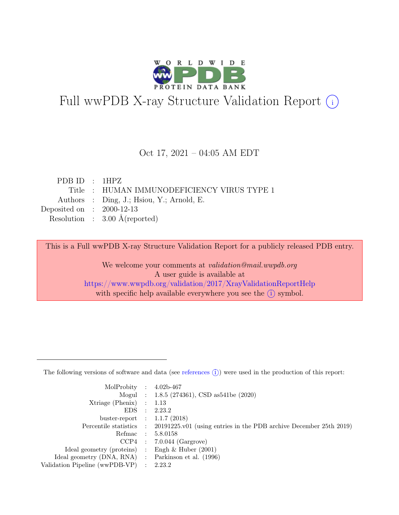

## Full wwPDB X-ray Structure Validation Report  $(i)$

#### Oct 17, 2021 – 04:05 AM EDT

| PDB ID : $1HPZ$                            |
|--------------------------------------------|
| Title: HUMAN IMMUNODEFICIENCY VIRUS TYPE 1 |
| Authors : Ding, J.; Hsiou, Y.; Arnold, E.  |
| Deposited on : $2000-12-13$                |
| Resolution : $3.00 \text{ Å}$ (reported)   |
|                                            |

This is a Full wwPDB X-ray Structure Validation Report for a publicly released PDB entry.

We welcome your comments at validation@mail.wwpdb.org A user guide is available at <https://www.wwpdb.org/validation/2017/XrayValidationReportHelp> with specific help available everywhere you see the  $(i)$  symbol.

The following versions of software and data (see [references](https://www.wwpdb.org/validation/2017/XrayValidationReportHelp#references)  $(i)$ ) were used in the production of this report:

| MolProbity : $4.02b-467$                            |                                                                                            |
|-----------------------------------------------------|--------------------------------------------------------------------------------------------|
|                                                     | Mogul : $1.8.5$ (274361), CSD as 541be (2020)                                              |
| $Xtriangle (Phenix)$ : 1.13                         |                                                                                            |
|                                                     | EDS : 2.23.2                                                                               |
| buster-report : $1.1.7$ (2018)                      |                                                                                            |
|                                                     | Percentile statistics : 20191225.v01 (using entries in the PDB archive December 25th 2019) |
|                                                     | Refmac : 5.8.0158                                                                          |
|                                                     | $CCP4$ : 7.0.044 (Gargrove)                                                                |
| Ideal geometry (proteins) : Engh $\&$ Huber (2001)  |                                                                                            |
| Ideal geometry (DNA, RNA) : Parkinson et al. (1996) |                                                                                            |
| Validation Pipeline (wwPDB-VP) : 2.23.2             |                                                                                            |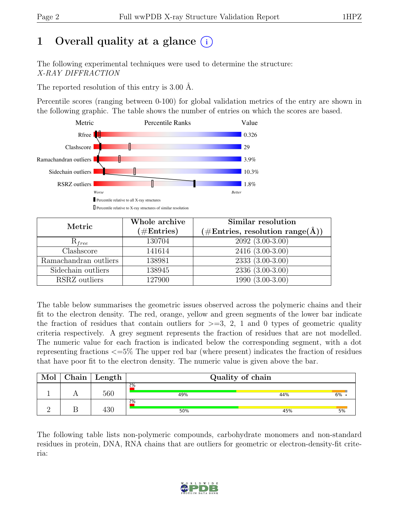## 1 Overall quality at a glance  $(i)$

The following experimental techniques were used to determine the structure: X-RAY DIFFRACTION

The reported resolution of this entry is 3.00 Å.

Percentile scores (ranging between 0-100) for global validation metrics of the entry are shown in the following graphic. The table shows the number of entries on which the scores are based.



| Metric                | Whole archive<br>$(\#\text{Entries})$ | Similar resolution<br>$(\# \text{Entries}, \text{ resolution } \text{range}(\AA))$ |
|-----------------------|---------------------------------------|------------------------------------------------------------------------------------|
| $R_{free}$            | 130704                                | $2092(3.00-3.00)$                                                                  |
| Clashscore            | 141614                                | $2416(3.00-3.00)$                                                                  |
| Ramachandran outliers | 138981                                | $2333(3.00-3.00)$                                                                  |
| Sidechain outliers    | 138945                                | 2336 (3.00-3.00)                                                                   |
| RSRZ outliers         | 127900                                | $1990(3.00-3.00)$                                                                  |

The table below summarises the geometric issues observed across the polymeric chains and their fit to the electron density. The red, orange, yellow and green segments of the lower bar indicate the fraction of residues that contain outliers for  $\geq=3$ , 2, 1 and 0 types of geometric quality criteria respectively. A grey segment represents the fraction of residues that are not modelled. The numeric value for each fraction is indicated below the corresponding segment, with a dot representing fractions <=5% The upper red bar (where present) indicates the fraction of residues that have poor fit to the electron density. The numeric value is given above the bar.

| Mol | Chain | $^{\shortmid}$ Length | Quality of chain |     |    |  |
|-----|-------|-----------------------|------------------|-----|----|--|
|     |       | 560                   | 2%<br>49%        | 44% | 6% |  |
|     |       | 430                   | 2%<br>50%        | 45% | 5% |  |

The following table lists non-polymeric compounds, carbohydrate monomers and non-standard residues in protein, DNA, RNA chains that are outliers for geometric or electron-density-fit criteria:

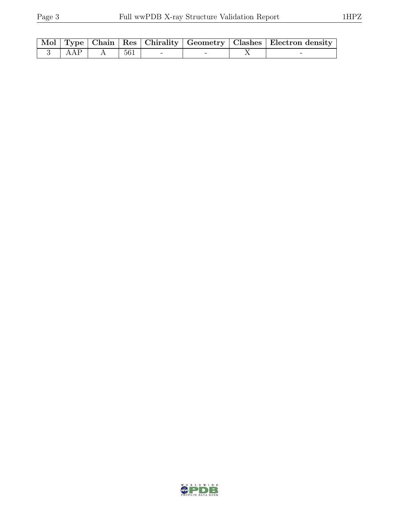|  |                   |  |  | Mol Type Chain Res Chirality Geometry   Clashes   Electron density |
|--|-------------------|--|--|--------------------------------------------------------------------|
|  | 3   AAP   A   561 |  |  | -                                                                  |

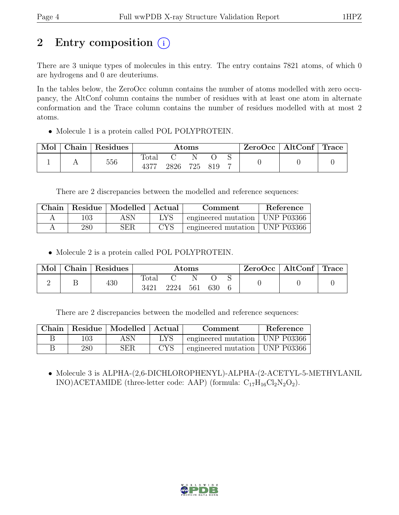## 2 Entry composition (i)

There are 3 unique types of molecules in this entry. The entry contains 7821 atoms, of which 0 are hydrogens and 0 are deuteriums.

In the tables below, the ZeroOcc column contains the number of atoms modelled with zero occupancy, the AltConf column contains the number of residues with at least one atom in alternate conformation and the Trace column contains the number of residues modelled with at most 2 atoms.

• Molecule 1 is a protein called POL POLYPROTEIN.

| Mol | Chain   Residues | $\rm{Atoms}$           |      |  |         |  | $ZeroOcc \mid AltConf \mid Trace$ |  |
|-----|------------------|------------------------|------|--|---------|--|-----------------------------------|--|
|     | 556              | $\text{Total}$<br>4377 | 2826 |  | 725 819 |  |                                   |  |

There are 2 discrepancies between the modelled and reference sequences:

|         | Chain   Residue   Modelled   Actual |            | Comment                          | Reference |
|---------|-------------------------------------|------------|----------------------------------|-----------|
| 103     | ASN                                 | <b>LYS</b> | engineered mutation   UNP P03366 |           |
| $280\,$ | ${\rm SER}$                         | <b>CYS</b> | engineered mutation   UNP P03366 |           |

• Molecule 2 is a protein called POL POLYPROTEIN.

| Mol | Chain | <sup>Residues</sup> | $\rm{Atoms}$  |      |     |     |  | $\text{ZeroOcc} \mid \text{AltConf} \mid \text{Trace}$ |  |
|-----|-------|---------------------|---------------|------|-----|-----|--|--------------------------------------------------------|--|
|     |       | 430                 | Total<br>3421 | 2224 | 561 | 630 |  |                                                        |  |

There are 2 discrepancies between the modelled and reference sequences:

| Chain |     | Residue   Modelled   Actual |              | Comment                          | Reference |
|-------|-----|-----------------------------|--------------|----------------------------------|-----------|
|       | 103 | ASN                         | LYS          | engineered mutation   UNP P03366 |           |
|       | 280 | SER                         | $_{\rm CYS}$ | engineered mutation   UNP P03366 |           |

• Molecule 3 is ALPHA-(2,6-DICHLOROPHENYL)-ALPHA-(2-ACETYL-5-METHYLANIL INO)ACETAMIDE (three-letter code: AAP) (formula:  $C_{17}H_{16}Cl_2N_2O_2$ ).

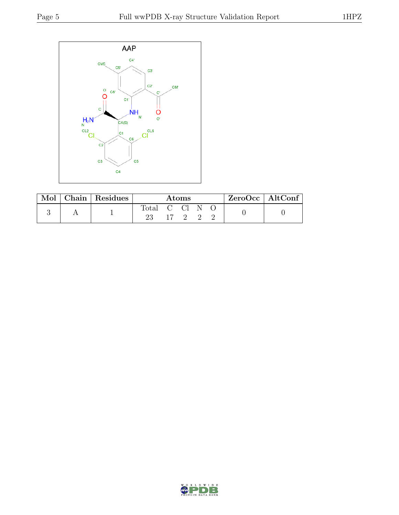

| Mol | $\mid$ Chain $\mid$ Residues | $\rm{Atoms}$ |  |  |  | $ZeroOcc \   \ AltConf \  $ |  |  |
|-----|------------------------------|--------------|--|--|--|-----------------------------|--|--|
|     |                              | Total C Cl   |  |  |  |                             |  |  |

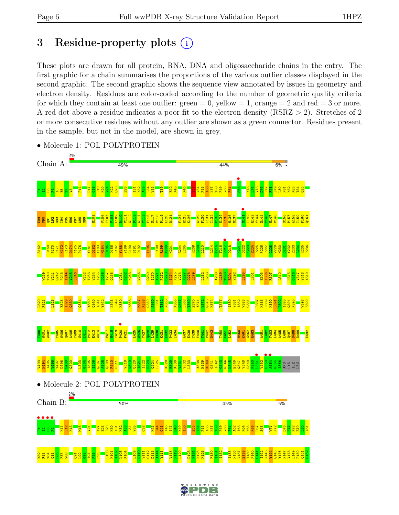## 3 Residue-property plots  $(i)$

These plots are drawn for all protein, RNA, DNA and oligosaccharide chains in the entry. The first graphic for a chain summarises the proportions of the various outlier classes displayed in the second graphic. The second graphic shows the sequence view annotated by issues in geometry and electron density. Residues are color-coded according to the number of geometric quality criteria for which they contain at least one outlier:  $green = 0$ , yellow  $= 1$ , orange  $= 2$  and red  $= 3$  or more. A red dot above a residue indicates a poor fit to the electron density (RSRZ > 2). Stretches of 2 or more consecutive residues without any outlier are shown as a green connector. Residues present in the sample, but not in the model, are shown in grey.



• Molecule 1: POL POLYPROTEIN

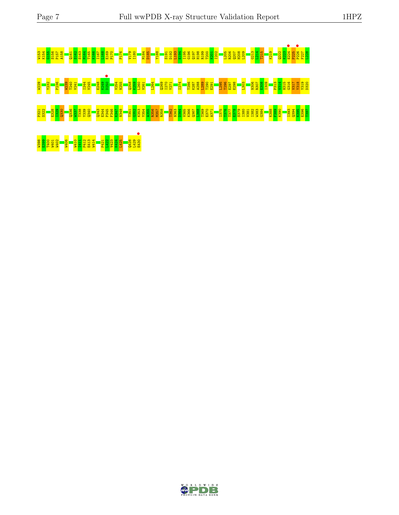# W153 K154 G155 S156 P157 A158 Q161 S162 S163 M164 T165 K166 I167 L168 E169 P170 P176 V179 I180 M184 D185 Y188 S191 D192 L193 E194 I195 G196 Q197 H198 R199 T200 K201 I202 L205 R206 Q207 H208 L209 G213 L214 T215 K219 Q222 K223 E224 • P225 P226 • F227 L228 W229 Y232 P236 W239 T240 V241 I244 V245 E248 K249 D250 • V254 N255 Q258 K259 L260 V261 L264 Q269 I270 Y271 I274 T286 K287 A288 L289 T290 E291 L295 T296 E297 E298 L303 N306 R307 E308 I309 P313 V314 H315 G316 V317 Y318 Y319 D320 <u>ដ្ឋ នូ កន្លងន្ទី កន្លងន្ទី កន្លងន្ទី និង កន្លងន្ទី កន្លងន្ទី កន្លងន្ទី និង កន្លងន្ទី កន្លង កន្លងន្ទី កន្លងន្ទី កន្លងន្ទី កន្លងន្ទី កន្លងន្ទី កន្លងន្ទី កន្លងន្ទី កន្លងន្ទី កន្លងន្ទី កន្លង្</u> W398 E399 T400 W401 W402 W406 W410 I411 P412 E413 W414 P421 L422 V423 K424 L425 Q428 L429 E430 •

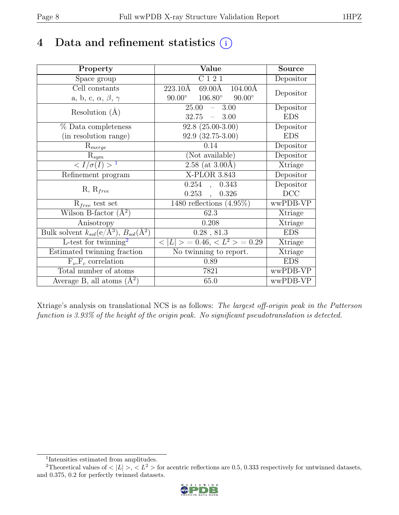## 4 Data and refinement statistics  $(i)$

| Property                                                         | Value                                                         | <b>Source</b>  |
|------------------------------------------------------------------|---------------------------------------------------------------|----------------|
| Space group                                                      | $\overline{C}$ 1 2 1                                          | Depositor      |
| Cell constants                                                   | $223.10\text{\AA}$<br>$69.00\text{\AA}$<br>$104.00\text{\AA}$ |                |
| a, b, c, $\alpha$ , $\beta$ , $\gamma$                           | $106.80^\circ$<br>$90.00^\circ$<br>$90.00^{\circ}$            | Depositor      |
| Resolution $(A)$                                                 | 25.00<br>$-3.00$                                              | Depositor      |
|                                                                  | 32.75<br>$-3.00$                                              | <b>EDS</b>     |
| $%$ Data completeness                                            | $92.8(25.00-3.00)$                                            | Depositor      |
| (in resolution range)                                            | $92.9(32.75-3.00)$                                            | <b>EDS</b>     |
| $R_{merge}$                                                      | 0.14                                                          | Depositor      |
| $\mathrm{R}_{sym}$                                               | (Not available)                                               | Depositor      |
| $\langle I/\sigma(I) \rangle$ <sup>1</sup>                       | $2.\overline{58}$ (at 3.00Å)                                  | Xtriage        |
| Refinement program                                               | X-PLOR 3.843                                                  | Depositor      |
| $R, R_{free}$                                                    | 0.254<br>0.343<br>$\mathcal{L}$                               | Depositor      |
|                                                                  | $0.253$ ,<br>0.326                                            | DCC            |
| $R_{free}$ test set                                              | 1480 reflections $(4.95\%)$                                   | wwPDB-VP       |
| Wilson B-factor $(A^2)$                                          | 62.3                                                          | Xtriage        |
| Anisotropy                                                       | 0.208                                                         | Xtriage        |
| Bulk solvent $k_{sol}(\text{e}/\text{A}^3), B_{sol}(\text{A}^2)$ | $0.28$ , $81.3$                                               | <b>EDS</b>     |
| L-test for $\overline{\text{twinning}}^2$                        | $< L >$ = 0.46, $< L2 >$ = 0.29                               | <b>Xtriage</b> |
| Estimated twinning fraction                                      | $\overline{\text{No}}$ twinning to report.                    | Xtriage        |
| $F_o, F_c$ correlation                                           | 0.89                                                          | <b>EDS</b>     |
| Total number of atoms                                            | 7821                                                          | wwPDB-VP       |
| Average B, all atoms $(A^2)$                                     | 65.0                                                          | wwPDB-VP       |

Xtriage's analysis on translational NCS is as follows: The largest off-origin peak in the Patterson function is 3.93% of the height of the origin peak. No significant pseudotranslation is detected.

<sup>&</sup>lt;sup>2</sup>Theoretical values of  $\langle |L| \rangle$ ,  $\langle L^2 \rangle$  for acentric reflections are 0.5, 0.333 respectively for untwinned datasets, and 0.375, 0.2 for perfectly twinned datasets.



<span id="page-7-1"></span><span id="page-7-0"></span><sup>1</sup> Intensities estimated from amplitudes.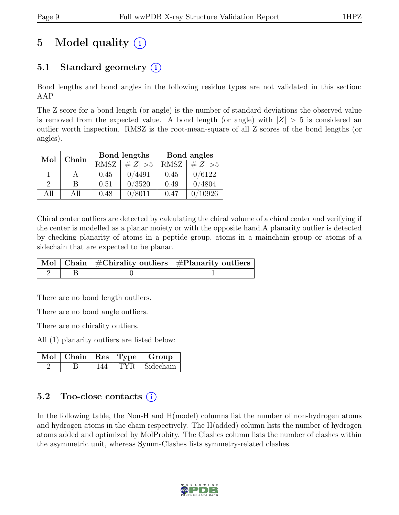## 5 Model quality  $(i)$

### 5.1 Standard geometry  $(i)$

Bond lengths and bond angles in the following residue types are not validated in this section: AAP

The Z score for a bond length (or angle) is the number of standard deviations the observed value is removed from the expected value. A bond length (or angle) with  $|Z| > 5$  is considered an outlier worth inspection. RMSZ is the root-mean-square of all Z scores of the bond lengths (or angles).

| Mol           | Chain |             | Bond lengths | Bond angles |             |  |
|---------------|-------|-------------|--------------|-------------|-------------|--|
|               |       | <b>RMSZ</b> | $\# Z  > 5$  | RMSZ        | # $ Z  > 5$ |  |
|               |       | 0.45        | 0/4491       | 0.45        | 0/6122      |  |
| $\mathcal{D}$ | В     | 0.51        | 0/3520       | 0.49        | 0/4804      |  |
| All           | All   | 0.48        | 0/8011       | 0.47        | 10926       |  |

Chiral center outliers are detected by calculating the chiral volume of a chiral center and verifying if the center is modelled as a planar moiety or with the opposite hand.A planarity outlier is detected by checking planarity of atoms in a peptide group, atoms in a mainchain group or atoms of a sidechain that are expected to be planar.

|  | $\mid$ Mol $\mid$ Chain $\mid$ #Chirality outliers $\mid$ #Planarity outliers $\mid$ |
|--|--------------------------------------------------------------------------------------|
|  |                                                                                      |

There are no bond length outliers.

There are no bond angle outliers.

There are no chirality outliers.

All (1) planarity outliers are listed below:

|  |     |      | $\vert$ Mol $\vert$ Chain $\vert$ Res $\vert$ Type $\vert$ Group |
|--|-----|------|------------------------------------------------------------------|
|  | 144 | TYR. | $\vert$ Sidechain                                                |

#### 5.2 Too-close contacts  $(i)$

In the following table, the Non-H and H(model) columns list the number of non-hydrogen atoms and hydrogen atoms in the chain respectively. The H(added) column lists the number of hydrogen atoms added and optimized by MolProbity. The Clashes column lists the number of clashes within the asymmetric unit, whereas Symm-Clashes lists symmetry-related clashes.

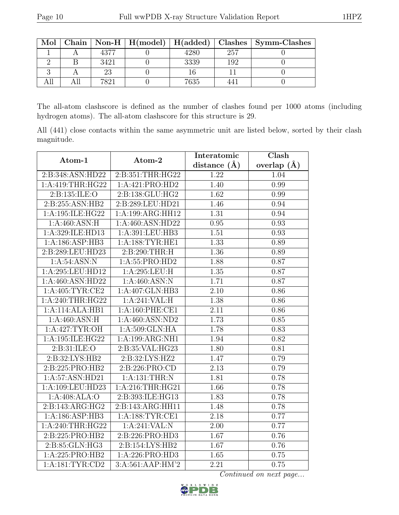| Mol |    |      |      |     | Chain   Non-H   H(model)   H(added)   Clashes   Symm-Clashes |
|-----|----|------|------|-----|--------------------------------------------------------------|
|     |    | 4377 | 4280 | 257 |                                                              |
|     |    | 3421 | 3339 | 192 |                                                              |
|     |    | 23   |      |     |                                                              |
|     | டப | 7991 | 7635 |     |                                                              |

The all-atom clashscore is defined as the number of clashes found per 1000 atoms (including hydrogen atoms). The all-atom clashscore for this structure is 29.

All (441) close contacts within the same asymmetric unit are listed below, sorted by their clash magnitude.

| Atom-1                              | Atom-2                     | Interatomic    | Clash         |
|-------------------------------------|----------------------------|----------------|---------------|
|                                     |                            | distance $(A)$ | overlap $(A)$ |
| 2:B:348:ASN:HD22                    | 2:B:351:THR:HG22           | 1.22           | 1.04          |
| 1:A:419:THR:HG22                    | 1:A:421:PRO:HD2            | 1.40           | 0.99          |
| 2:B:135:ILE:O                       | 2:B:138:GLU:HG2            | 1.62           | 0.99          |
| $2:B:255:\overline{\text{ASN:HB2}}$ | 2:B:289:LEU:HD21           | 1.46           | 0.94          |
| 1:A:195:ILE:HG22                    | 1:A:199:ARG:HH12           | 1.31           | 0.94          |
| 1:A:460:ASN:H                       | 1:A:460:ASN:HD22           | 0.95           | 0.93          |
| 1:A:329:ILE:HD13                    | 1:A:391:LEU:HB3            | 1.51           | 0.93          |
| 1:A:186:ASP:HB3                     | 1: A: 188: TYR: HE1        | 1.33           | 0.89          |
| 2:B:289:LEU:HD23                    | 2:B:290:THR:H              | 1.36           | 0.89          |
| 1: A:54:ASN:N                       | 1:A:55:PRO:HD2             | 1.88           | 0.87          |
| 1:A:295:LEU:HD12                    | 1:A:295:LEU:H              | 1.35           | 0.87          |
| 1:A:460:ASN:HD22                    | 1:A:460:ASN:N              | 1.71           | 0.87          |
| 1: A:405: TYR:CE2                   | 1:A:407:GLN:HB3            | 2.10           | 0.86          |
| 1:A:240:THR:HG22                    | $1:A:241:\overline{VAL:H}$ | 1.38           | 0.86          |
| 1:A:114:ALA:HB1                     | 1: A:160: PHE:CE1          | 2.11           | 0.86          |
| 1: A:460: ASN:H                     | 1:A:460:ASN:ND2            | 1.73           | 0.85          |
| 1: A:427: TYR:OH                    | 1: A:509: GLN: HA          | 1.78           | 0.83          |
| 1:A:195:ILE:HG22                    | 1:A:199:ARG:NH1            | 1.94           | 0.82          |
| 2:B:31:ILE:O                        | 2:B:35:VAL:HG23            | 1.80           | 0.81          |
| 2:B:32:LYS:HB2                      | 2:B:32:LYS:HZ2             | 1.47           | 0.79          |
| 2:B:225:PRO:HB2                     | 2: B: 226: PRO:CD          | 2.13           | 0.79          |
| 1:A:57:ASN:HD21                     | 1:A:131:THR:N              | 1.81           | 0.78          |
| 1:A:109:LEU:HD23                    | 1:A:216:THR:HG21           | 1.66           | 0.78          |
| 1:A:408:ALA:O                       | 2:B:393:ILE:HG13           | 1.83           | 0.78          |
| 2:B:143:ARG:HG2                     | 2:B:143:ARG:HH11           | 1.48           | 0.78          |
| 1:A:186:ASP:HB3                     | 1:A:188:TYR:CE1            | 2.18           | 0.77          |
| 1:A:240:THR:HG22                    | 1:A:241:VAL:N              | 2.00           | 0.77          |
| 2:B:225:PRO:HB2                     | 2:B:226:PRO:HD3            | 1.67           | 0.76          |
| 2: B:85: GLN:HG3                    | 2:B:154:LYS:HB2            | 1.67           | 0.76          |
| 1:A:225:PRO:HB2                     | 1:A:226:PRO:HD3            | 1.65           | 0.75          |
| 1: A:181: TYR: CD2                  | 3:A:561:AAP:HM'2           | 2.21           | 0.75          |

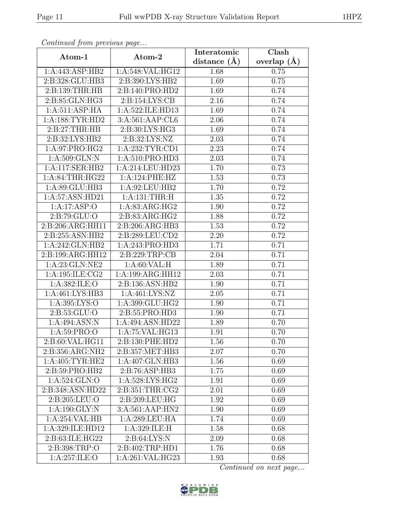| $\sim$ onventuca prome previous page |                                   | Interatomic      | Clash           |
|--------------------------------------|-----------------------------------|------------------|-----------------|
| Atom-1                               | Atom-2                            | distance $(\AA)$ | overlap $(\AA)$ |
| 1:A:443:ASP:HB2                      | 1:A:548:VAL:HG12                  | 1.68             | 0.75            |
| 2:B:328:GLU:HB3                      | 2:B:390:LYS:HB2                   | 1.69             | 0.75            |
| 2:B:139:THR:HB                       | 2:B:140:PRO:HD2                   | 1.69             | 0.74            |
| 2:B:85:GLN:HG3                       | 2: B: 154: LYS: CB                | 2.16             | 0.74            |
| 1:A:511:ASP:HA                       | 1:A:522:ILE:HD13                  | 1.69             | 0.74            |
| 1: A: 188: TYR: HD2                  | 3:A:561:AAP:CL6                   | 2.06             | 0.74            |
| 2:B:27:THR:HB                        | 2: B:30: LYS: HG3                 | 1.69             | 0.74            |
| 2:B:32:LYS:HB2                       | 2:B:32:LYS:NZ                     | 2.03             | 0.74            |
| 1:A:97:PRO:HG2                       | 1:A:232:TYR:CD1                   | 2.23             | 0.74            |
| 1: A:509: GLN:N                      | 1:A:510:PRO:HD3                   | 2.03             | 0.74            |
| 1:A:117:SER:HB2                      | 1:A:214:LEU:HD23                  | 1.70             | 0.73            |
| 1:A:84:THR:HG22                      | 1:A:124:PHE:HZ                    | 1.53             | 0.73            |
| 1:A:89:GLU:HB3                       | 1:A:92:LEU:HB2                    | 1.70             | 0.72            |
| 1:A:57:ASN:HD21                      | $1:A:131:\overline{\text{THR:H}}$ | 1.35             | 0.72            |
| 1:A:17:ASP:O                         | 1:A:83:ARG:HG2                    | 1.90             | 0.72            |
| 2:B:79:GLU:O                         | 2:B:83:ARG:HG2                    | 1.88             | 0.72            |
| 2:B:206:ARG:HH11                     | 2:B:206:ARG:HB3                   | 1.53             | 0.72            |
| 2:B:255:ASN:HB2                      | 2:B:289:LEU:CD2                   | 2.20             | 0.72            |
| 1:A:242:GLN:HB2                      | 1:A:243:PRO:HD3                   | 1.71             | 0.71            |
| 2:B:199:ARG:HH12                     | 2:B:229:TRP:CB                    | 2.04             | 0.71            |
| 1:A:23:GLN:NE2                       | 1:A:60:VAL:H                      | 1.89             | 0.71            |
| 1:A:195:ILE:CG2                      | 1:A:199:ARG:HH12                  | 2.03             | 0.71            |
| 1:A:382:ILE:O                        | 2:B:136:ASN:HB2                   | 1.90             | 0.71            |
| 1: A:461: LYS:HB3                    | 1: A:461:LYS:NZ                   | 2.05             | 0.71            |
| 1:A:395:LYS:O                        | 1:A:399:GLU:HG2                   | 1.90             | 0.71            |
| 2: B: 53: GLU: O                     | 2:B:55:PRO:HD3                    | 1.90             | 0.71            |
| 1:A:494:ASN:N                        | 1:A:494:ASN:HD22                  | 1.89             | 0.70            |
| 1: A:59: PRO:O                       | 1: A:75: VAL:HG13                 | 1.91             | 0.70            |
| 2:B:60:VAL:HG11                      | 2:B:130:PHE:HD2                   | 1.56             | 0.70            |
| $2:B:356:AR\overline{G:NH2}$         | 2:B:357:MET:HB3                   | 2.07             | 0.70            |
| 1: A:405: TYR: HE2                   | 1:A:407:GLN:HB3                   | 1.56             | 0.69            |
| 2:B:59:PRO:HB2                       | 2:B:76:ASP:HB3                    | 1.75             | 0.69            |
| 1: A:524: GLN:O                      | 1:A:528:LYS:HG2                   | 1.91             | 0.69            |
| 2:B:348:ASN:HD22                     | 2:B:351:THR:CG2                   | 2.01             | 0.69            |
| 2: B:205: LEU:O                      | 2:B:209:LEU:HG                    | 1.92             | 0.69            |
| 1: A: 190: GLY:N                     | 3:A:561:AAP:HN2                   | 1.90             | 0.69            |
| 1:A:254:VAL:HB                       | 1:A:289:LEU:HA                    | 1.74             | 0.69            |
| 1:A:329:ILE:HD12                     | 1:A:329:ILE:H                     | 1.58             | 0.68            |
| 2:B:63:ILE:HG22                      | 2: B:64: LYS:N                    | 2.09             | 0.68            |
| 2:B:398:TRP:O                        | 2:B:402:TRP:HD1                   | 1.76             | 0.68            |
| 1:A:257:ILE:O                        | 1:A:261:VAL:HG23                  | 1.93             | 0.68            |

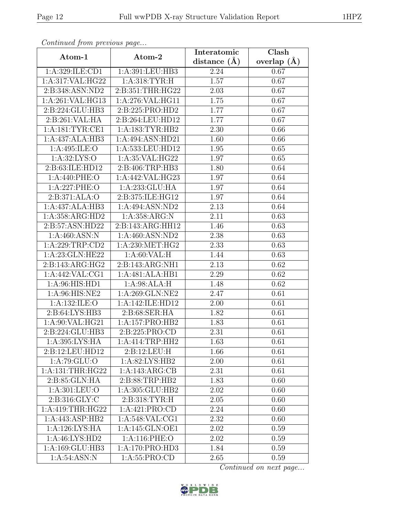| Continued from previous page |                   | Interatomic       | Clash             |
|------------------------------|-------------------|-------------------|-------------------|
| Atom-1                       | Atom-2            | distance $(A)$    | overlap $(\AA)$   |
| 1:A:329:ILE:CD1              | 1:A:391:LEU:HB3   | 2.24              | 0.67              |
| 1:A:317:VAL:HG22             | 1:A:318:TYR:H     | 1.57              | 0.67              |
| 2:B:348:ASN:ND2              | 2:B:351:THR:HG22  | 2.03              | 0.67              |
| 1:A:261:VAL:HG13             | 1:A:276:VAL:HG11  | 1.75              | $0.\overline{67}$ |
| 2:B:224:GLU:HB3              | 2:B:225:PRO:HD2   | 1.77              | 0.67              |
| 2:B:261:VAL:HA               | 2:B:264:LEU:HD12  | 1.77              | $\overline{0.67}$ |
| 1: A: 181: TYR: CE1          | 1:A:183:TYR:HB2   | $\overline{2}.30$ | 0.66              |
| 1:A:437:ALA:HB3              | 1:A:494:ASN:HD21  | 1.60              | 0.66              |
| 1:A:495:ILE:O                | 1:A:533:LEU:HD12  | 1.95              | 0.65              |
| 1: A:32: LYS:O               | 1:A:35:VAL:HG22   | 1.97              | 0.65              |
| 2:B:63:ILE:HD12              | 2:B:406:TRP:HB3   | 1.80              | 0.64              |
| 1:A:440:PHE:O                | 1:A:442:VAL:HG23  | 1.97              | 0.64              |
| 1:A:227:PHE:O                | 1:A:233:GLU:HA    | 1.97              | 0.64              |
| 2:B:371:ALA:O                | 2:B:375:ILE:HG12  | 1.97              | 0.64              |
| 1:A:437:ALA:HB3              | 1:A:494:ASN:ND2   | 2.13              | 0.64              |
| 1:A:358:ARG:HD2              | 1:A:358:ARG:N     | 2.11              | 0.63              |
| 2:B:57:ASN:HD22              | 2:B:143:ARG:HH12  | 1.46              | 0.63              |
| 1:A:460:ASN:N                | 1:A:460:ASN:ND2   | 2.38              | 0.63              |
| 1:A:229:TRP:CD2              | 1:A:230:MET:HG2   | 2.33              | 0.63              |
| 1:A:23:GLN:HE22              | 1: A:60: VAL:H    | 1.44              | 0.63              |
| 2:B:143:ARG:HG2              | 2:B:143:ARG:NH1   | 2.13              | 0.62              |
| 1: A:442: VAL:CG1            | 1:A:481:ALA:HB1   | 2.29              | 0.62              |
| 1:A:96:HIS:HD1               | 1: A:98:ALA:H     | 1.48              | 0.62              |
| 1:A:96:HIS:NE2               | 1:A:269:GLN:NE2   | 2.47              | 0.61              |
| 1:A:132:ILE:O                | 1:A:142:ILE:HD12  | 2.00              | 0.61              |
| 2:B:64:LYS:HB3               | 2:B:68:SER:HA     | 1.82              | 0.61              |
| 1: A:90: VAL: HG21           | 1:A:157:PRO:HB2   | 1.83              | 0.61              |
| 2:B:224:GLU:HB3              | 2:B:225:PRO:CD    | 2.31              | 0.61              |
| 1:A:395:LYS:HA               | 1:A:414:TRP:HH2   | 1.63              | 0.61              |
| 2:B:12:LEU:HD12              | 2:B:12:LEU:H      | 1.66              | 0.61              |
| 1:A:79:GLU:O                 | 1:A:82:LYS:HB2    | 2.00              | 0.61              |
| 1:A:131:THR:HG22             | 1:A:143:ARG:CB    | 2.31              | 0.61              |
| 2:B:85:GLN:HA                | 2:B:88:TRP:HB2    | 1.83              | 0.60              |
| 1:A:301:LEU:O                | 1:A:305:GLU:HB2   | 2.02              | 0.60              |
| 2:B:316:GLY:C                | 2:B:318:TYR:H     | 2.05              | 0.60              |
| 1:A:419:THR:HG22             | 1:A:421:PRO:CD    | 2.24              | 0.60              |
| 1:A:443:ASP:HB2              | 1: A:548: VAL:CG1 | 2.32              | 0.60              |
| 1:A:126:LYS:HA               | 1:A:145:GLN:OE1   | 2.02              | 0.59              |
| 1:A:46:LYS:HD2               | 1:A:116:PHE:O     | 2.02              | 0.59              |
| 1:A:169:GLU:HB3              | 1:A:170:PRO:HD3   | 1.84              | 0.59              |
| 1: A:54:ASN:N                | 1:A:55:PRO:CD     | 2.65              | 0.59              |

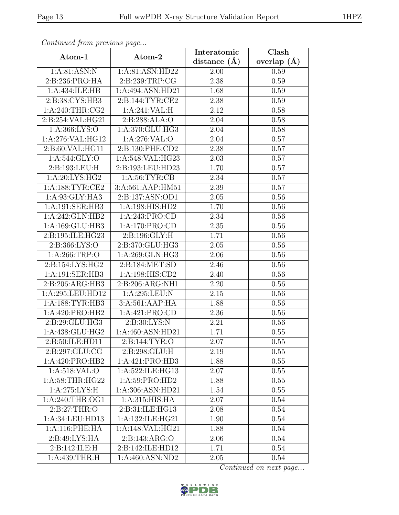| Continuation provides page              |                              | Interatomic      | Clash           |
|-----------------------------------------|------------------------------|------------------|-----------------|
| Atom-1                                  | Atom-2                       | distance $(\AA)$ | overlap $(\AA)$ |
| 1:A:81:ASN:N                            | 1:A:81:ASN:HD22              | 2.00             | 0.59            |
| 2:B:236:PRO:HA                          | 2:B:239:TRP:CG               | 2.38             | 0.59            |
| 1:A:434:ILE:HB                          | 1:A:494:ASN:HD21             | 1.68             | 0.59            |
| 2:B:38:CYS:HB3                          | 2:B:144:TYR:CE2              | 2.38             | 0.59            |
| 1: A:240:THR:CG2                        | 1:A:241:VAL:H                | 2.12             | 0.58            |
| 2:B:254:VAL:HG21                        | 2:B:288:ALA:O                | 2.04             | 0.58            |
| 1: A: 366: LYS: O                       | 1:A:370:GLU:HG3              | 2.04             | 0.58            |
| 1:A:276:VAL:HG12                        | 1:A:276:VAL:O                | 2.04             | 0.57            |
| 2:B:60:VAL:HG11                         | 2:B:130:PHE:CD2              | 2.38             | 0.57            |
| 1: A:544: GLY:O                         | 1:A:548:VAL:HG23             | 2.03             | 0.57            |
| 2:B:193:LEU:H                           | 2:B:193:LEU:HD23             | 1.70             | 0.57            |
| 1:A:20:LYS:HG2                          | 1: A:56: TYR: CB             | 2.34             | 0.57            |
| 1: A: 188: TYR: CE2                     | 3:A:561:AAP:HM51             | 2.39             | 0.57            |
| $1:A:93:G\overline{LY:H} \overline{A3}$ | 2: B: 137: ASN: OD1          | 2.05             | 0.56            |
| 1:A:191:SER:HB3                         | 1:A:198:HIS:HD2              | 1.70             | 0.56            |
| 1:A:242:GLN:HB2                         | 1:A:243:PRO:CD               | 2.34             | 0.56            |
| 1:A:169:GLU:HB3                         | 1:A:170:PRO:CD               | 2.35             | 0.56            |
| 2:B:195:ILE:HG23                        | 2:B:196:GLY:H                | 1.71             | 0.56            |
| 2:B:366:LYS:O                           | 2:B:370:GLU:HG3              | 2.05             | 0.56            |
| 1: A:266:TRP:O                          | 1:A:269:GLN:HG3              | 2.06             | 0.56            |
| 2: B: 154: LYS: HG2                     | 2:B:184:MET:SD               | 2.46             | 0.56            |
| 1:A:191:SER:HB3                         | 1:A:198:HIS:CD2              | 2.40             | 0.56            |
| 2:B:206:ARG:HB3                         | 2:B:206:ARG:NH1              | 2.20             | 0.56            |
| 1:A:295:LEU:HD12                        | 1:A:295:LEU:N                | 2.15             | 0.56            |
| 1: A: 188: TYR: HB3                     | 3:A:561:AAP:HA               | 1.88             | 0.56            |
| 1:A:420:PRO:HB2                         | 1:A:421:PRO:CD               | 2.36             | 0.56            |
| 2:B:29:GLU:HG3                          | 2:B:30:LYS:N                 | 2.21             | 0.56            |
| 1:A:438:GLU:HG2                         | 1:A:460:ASN:HD21             | 1.71             | 0.55            |
| 2:B:50:ILE:HD11                         | 2:B:144:TYR:O                | 2.07             | 0.55            |
| 2:B:297:GLU:CG                          | 2:B:298:GLU:H                | 2.19             | 0.55            |
| 1:A:420:PRO:HB2                         | 1:A:421:PRO:HD3              | 1.88             | 0.55            |
| 1: A:518: VAL:O                         | 1:A:522:ILE:HG13             | 2.07             | 0.55            |
| 1: A:58:THR:HG22                        | 1: A:59: PRO:HD2             | 1.88             | 0.55            |
| 1:A:275:LYS:H                           | 1:A:306:ASN:HD21             | 1.54             | 0.55            |
| 1: A:240:THR:OG1                        | 1:A:315:HIS:HA               | 2.07             | 0.54            |
| 2: B:27:THR:O                           | 2:B:31:ILE:HG13              | 2.08             | 0.54            |
| 1:A:34:LEU:HD13                         | 1:A:132:ILE:HG21             | 1.90             | 0.54            |
| 1:A:116:PHE:HA                          | 1:A:148:VAL:HG21             | 1.88             | 0.54            |
| 2:B:49:LYS:HA                           | 2:B:143:ARG:O                | 2.06             | 0.54            |
| 2:B:142:ILE:H                           | 2:B:142:ILE:HD12             | 1.71             | 0.54            |
| 1:A:439:THR:H                           | $1:A:460:ASN:N\overline{D2}$ | 2.05             | 0.54            |

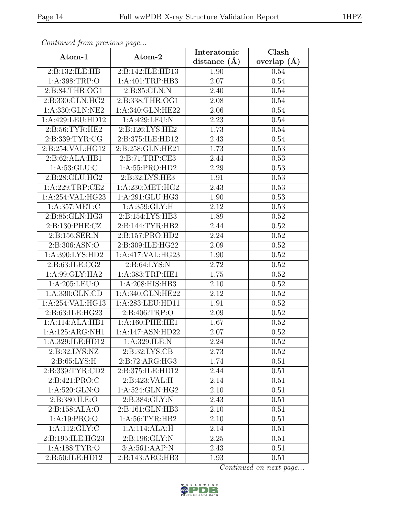| Continuation procession page |                    | Interatomic      | $\overline{\text{Clash}}$ |
|------------------------------|--------------------|------------------|---------------------------|
| Atom-1                       | Atom-2             | distance $(\AA)$ | overlap $(\AA)$           |
| 2:B:132:ILE:HB               | 2:B:142:ILE:HD13   | 1.90             | 0.54                      |
| 1: A:398:TRP:O               | 1:A:401:TRP:HB3    | 2.07             | 0.54                      |
| 2: B:84:THR:OG1              | 2:B:85:GLN:N       | 2.40             | 0.54                      |
| 2:B:330:GLN:HG2              | 2:B:338:THR:OG1    | 2.08             | 0.54                      |
| 1:A:330:GLN:NE2              | 1:A:340:GLN:HE22   | 2.06             | 0.54                      |
| 1:A:429:LEU:HD12             | 1:A:429:LEU:N      | 2.23             | 0.54                      |
| 2:B:56:TYR:HE2               | 2:B:126:LYS:HE2    | 1.73             | 0.54                      |
| 2:B:339:TYR:CG               | 2:B:375:ILE:HD12   | 2.43             | 0.54                      |
| 2:B:254:VAL:HG12             | 2:B:258:GLN:HE21   | 1.73             | 0.53                      |
| 2:B:62:ALA:HB1               | 2:B:71:TRP:CE3     | 2.44             | 0.53                      |
| 1: A:53: GLU: C              | 1:A:55:PRO:HD2     | 2.29             | 0.53                      |
| 2:B:28:GLU:HG2               | 2:B:32:LYS:HE3     | 1.91             | 0.53                      |
| 1:A:229:TRP:CE2              | 1: A:230:MET:HG2   | 2.43             | 0.53                      |
| 1:A:254:VAL:HG23             | 1:A:291:GLU:HG3    | 1.90             | 0.53                      |
| 1:A:357:MET:C                | 1:A:359:GLY:H      | 2.12             | 0.53                      |
| 2:B:85:GLN:HG3               | 2:B:154:LYS:HB3    | 1.89             | 0.52                      |
| 2: B: 130: PHE: CZ           | 2:B:144:TYR:HB2    | 2.44             | 0.52                      |
| 2:B:156:SER:N                | 2:B:157:PRO:HD2    | 2.24             | 0.52                      |
| 2:B:306:ASN:O                | 2:B:309:ILE:HG22   | 2.09             | 0.52                      |
| 1:A:390:LYS:HD2              | 1:A:417:VAL:HG23   | 1.90             | 0.52                      |
| 2:B:63:ILE:CG2               | 2: B:64: LYS:N     | 2.72             | 0.52                      |
| 1:A:99:GLY:HA2               | 1:A:383:TRP:HE1    | 1.75             | 0.52                      |
| 1:A:205:LEU:O                | 1:A:208:HIS:HB3    | 2.10             | 0.52                      |
| 1: A: 330: GLN: CD           | 1:A:340:GLN:HE22   | 2.12             | 0.52                      |
| 1:A:254:VAL:HG13             | 1:A:283:LEU:HD11   | 1.91             | 0.52                      |
| 2:B:63:ILE:HG23              | 2:B:406:TRP:O      | 2.09             | 0.52                      |
| 1:A:114:ALA:HB1              | 1: A:160: PHE: HE1 | 1.67             | 0.52                      |
| 1:A:125:ARG:NH1              | 1:A:147:ASN:HD22   | 2.07             | 0.52                      |
| 1:A:329:ILE:HD12             | 1:A:329:ILE:N      | 2.24             | 0.52                      |
| 2:B:32:LYS:NZ                | 2:B:32:LYS:CB      | 2.73             | 0.52                      |
| 2: B:65: LYS:H               | 2:B:72:ARG:HG3     | 1.74             | 0.51                      |
| 2:B:339:TYR:CD2              | 2:B:375:ILE:HD12   | 2.44             | 0.51                      |
| 2:B:421:PRO:C                | 2:B:423:VAL:H      | 2.14             | 0.51                      |
| 1:A:520:GLN:O                | 1:A:524:GLN:HG2    | 2.10             | 0.51                      |
| 2:B:380:ILE:O                | 2:B:384:GLY:N      | 2.43             | 0.51                      |
| 2:B:158:ALA:O                | 2:B:161:GLN:HB3    | 2.10             | 0.51                      |
| 1:A:19:PRO:O                 | 1: A:56: TYR: HB2  | 2.10             | 0.51                      |
| 1:A:112:GLY:C                | 1:A:114:ALA:H      | 2.14             | 0.51                      |
| 2:B:195:ILE:HG23             | 2:B:196:GLY:N      | 2.25             | 0.51                      |
| 1: A: 188: TYR: O            | 3:A:561:AAP:N      | 2.43             | 0.51                      |
| 2:B:50:ILE:HD12              | 2:B:143:ARG:HB3    | 1.93             | 0.51                      |

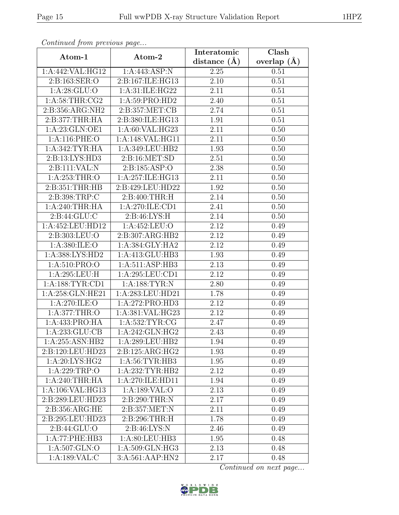| Continual from protious page |                    | Interatomic      | $\overline{\text{Clash}}$ |
|------------------------------|--------------------|------------------|---------------------------|
| Atom-1                       | Atom-2             | distance $(\AA)$ | overlap $(\AA)$           |
| 1:A:442:VAL:HG12             | 1:A:443:ASP:N      | 2.25             | 0.51                      |
| 2:B:163:SER:O                | 2:B:167:ILE:HG13   | 2.10             | 0.51                      |
| 1: A:28: GLU:O               | 1:A:31:ILE:HG22    | 2.11             | 0.51                      |
| 1: A:58:THR:CG2              | 1:A:59:PRO:HD2     | 2.40             | 0.51                      |
| 2:B:356:ARG:NH2              | 2:B:357:MET:CB     | 2.74             | 0.51                      |
| 2: B:377:THR:HA              | 2:B:380:ILE:HG13   | 1.91             | 0.51                      |
| 1: A:23: GLN:OE1             | 1:A:60:VAL:HG23    | 2.11             | 0.50                      |
| 1:A:116:PHE:O                | 1:A:148:VAL:HG11   | 2.11             | 0.50                      |
| 1: A:342:TYR:HA              | 1:A:349:LEU:HB2    | 1.93             | 0.50                      |
| 2:B:13:LYS:HD3               | 2: B:16: MET:SD    | 2.51             | 0.50                      |
| 2:B:111:VAL:N                | 2:B:185:ASP:O      | 2.38             | 0.50                      |
| 1:A:253:THR:O                | 1:A:257:ILE:HG13   | 2.11             | 0.50                      |
| 2: B:351:THR:HB              | 2:B:429:LEU:HD22   | 1.92             | 0.50                      |
| 2:B:398:TRP:C                | 2: B:400: THR:H    | 2.14             | 0.50                      |
| 1:A:240:THR:HA               | 1:A:270:ILE:CD1    | 2.41             | 0.50                      |
| 2: B:44: GLU: C              | 2: B:46: LYS:H     | 2.14             | 0.50                      |
| 1:A:452:LEU:HD12             | 1:A:452:LEU:O      | 2.12             | 0.49                      |
| 2:B:303:LEU:O                | 2:B:307:ARG:HB2    | 2.12             | 0.49                      |
| 1:A:380:ILE:O                | 1:A:384:GLY:HA2    | 2.12             | 0.49                      |
| 1: A: 388: LYS: HD2          | 1:A:413:GLU:HB3    | 1.93             | 0.49                      |
| 1: A:510: PRO:O              | 1: A:511: ASP:HB3  | 2.13             | 0.49                      |
| 1:A:295:LEU:H                | 1:A:295:LEU:CD1    | 2.12             | 0.49                      |
| 1: A: 188: TYR: CD1          | 1: A: 188: TYR: N  | 2.80             | 0.49                      |
| 1:A:258:GLN:HE21             | 1:A:283:LEU:HD21   | 1.78             | 0.49                      |
| 1:A:270:ILE:O                | 1:A:272:PRO:HD3    | 2.12             | 0.49                      |
| 1: A:377:THR:O               | 1:A:381:VAL:HG23   | 2.12             | 0.49                      |
| 1:A:433:PRO:HA               | 1: A: 532: TYR: CG | 2.47             | 0.49                      |
| 1:A:233:GLU:CB               | 1:A:242:GLN:HG2    | 2.43             | 0.49                      |
| 1:A:255:ASN:HB2              | 1:A:289:LEU:HB2    | 1.94             | 0.49                      |
| 2:B:120:LEU:HD23             | 2:B:125:ARG:HG2    | 1.93             | 0.49                      |
| 1:A:20:LYS:HG2               | 1: A:56: TYR:HB3   | 1.95             | 0.49                      |
| 1:A:229:TRP:O                | 1:A:232:TYR:HB2    | 2.12             | 0.49                      |
| 1:A:240:THR:HA               | 1:A:270:ILE:HD11   | 1.94             | 0.49                      |
| 1:A:106:VAL:HG13             | 1:A:189:VAL:O      | 2.13             | 0.49                      |
| 2:B:289:LEU:HD23             | 2:B:290:THR:N      | 2.17             | 0.49                      |
| 2:B:356:ARG:HE               | 2: B: 357: MET: N  | 2.11             | 0.49                      |
| 2:B:295:LEU:HD23             | 2:B:296:THR:H      | 1.78             | 0.49                      |
| 2:B:44:GLU:O                 | 2: B:46: LYS:N     | 2.46             | 0.49                      |
| 1:A:77:PHE:HB3               | 1:A:80:LEU:HB3     | 1.95             | 0.48                      |
| 1:A:507:GLN:O                | 1:A:509:GLN:HG3    | 2.13             | 0.48                      |
| 1:A:189:VAL:C                | 3:A:561:AAP:HN2    | 2.17             | 0.48                      |

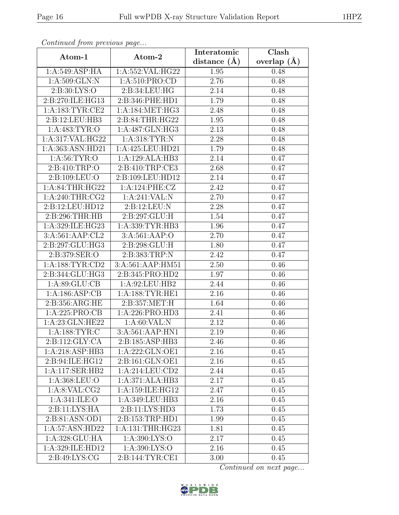| Continuea from previous page |                     | Interatomic       | Clash         |
|------------------------------|---------------------|-------------------|---------------|
| Atom-1                       | Atom-2              | distance $(A)$    | overlap $(A)$ |
| 1:A:549:ASP:HA               | 1:A:552:VAL:HG22    | 1.95              | 0.48          |
| 1:A:509:GLN:N                | 1:A:510:PRO:CD      | 2.76              | 0.48          |
| 2: B:30: LYS:O               | 2:B:34:LEU:HG       | 2.14              | 0.48          |
| 2:B:270:ILE:HG13             | 2:B:346:PHE:HD1     | 1.79              | 0.48          |
| 1: A: 183: TYR: CE2          | 1:A:184:MET:HG3     | 2.48              | 0.48          |
| 2:B:12:LEU:HB3               | 2:B:84:THR:HG22     | 1.95              | 0.48          |
| 1: A:483: TYR:O              | 1:A:487:GLN:HG3     | 2.13              | 0.48          |
| 1:A:317:VAL:HG22             | 1: A:318: TYR:N     | 2.28              | 0.48          |
| 1:A:363:ASN:HD21             | 1:A:425:LEU:HD21    | 1.79              | 0.48          |
| 1: A:56: TYR:O               | 1:A:129:ALA:HB3     | 2.14              | 0.47          |
| 2: B:410: TRP:O              | 2: B:410: TRP:CE3   | 2.68              | 0.47          |
| 2:B:109:LEU:O                | 2:B:109:LEU:HD12    | 2.14              | 0.47          |
| 1:A:84:THR:HG22              | 1:A:124:PHE:CZ      | 2.42              | 0.47          |
| 1: A:240:THR:CG2             | 1:A:241:VAL:N       | 2.70              | 0.47          |
| 2:B:12:LEU:HD12              | 2:B:12:LEU:N        | 2.28              | 0.47          |
| 2: B:296:THR:HB              | 2:B:297:GLU:H       | 1.54              | 0.47          |
| 1:A:329:ILE:HG23             | 1:A:339:TYR:HB3     | 1.96              | 0.47          |
| 3:A:561:AAP:CL2              | 3: A:561: AAP:O     | 2.70              | 0.47          |
| 2:B:297:GLU:HG3              | 2: B:298: GLU: H    | 1.80              | 0.47          |
| 2:B:379:SER:O                | 2:B:383:TRP:N       | 2.42              | 0.47          |
| 1: A: 188: TYR: CD2          | 3:A:561:AAP:HM51    | 2.50              | 0.46          |
| 2:B:344:GLU:HG3              | 2:B:345:PRO:HD2     | 1.97              | 0.46          |
| 1: A:89: GLU:CB              | 1:A:92:LEU:HB2      | 2.44              | 0.46          |
| 1:A:186:ASP:CB               | 1: A: 188: TYR: HE1 | $\overline{2.16}$ | 0.46          |
| 2:B:356:ARG:HE               | 2:B:357:MET:H       | 1.64              | 0.46          |
| 1: A:225: PRO:CB             | 1:A:226:PRO:HD3     | 2.41              | 0.46          |
| 1:A:23:GLN:HE22              | 1: A:60: VAL: N     | 2.12              | 0.46          |
| 1: A: 188: TYR: C            | 3:A:561:AAP:HN1     | 2.19              | 0.46          |
| 2:B:112:GLY:CA               | 2:B:185:ASP:HB3     | 2.46              | 0.46          |
| 1:A:218:ASP:HB3              | 1:A:222:GLN:OE1     | 2.16              | 0.45          |
| 2:B:94:ILE:HG12              | 2:B:161:GLN:OE1     | 2.16              | 0.45          |
| 1:A:117:SER:HB2              | 1:A:214:LEU:CD2     | 2.44              | 0.45          |
| 1:A:368:LEU:O                | 1:A:371:ALA:HB3     | 2.17              | 0.45          |
| 1: A:8: VAL:CG2              | 1:A:159:ILE:HG12    | 2.47              | 0.45          |
| 1:A:341:ILE:O                | 1: A:349:LEU:HB3    | 2.16              | 0.45          |
| 2:B:11:LYS:HA                | 2:B:11:LYS:HD3      | 1.73              | 0.45          |
| 2:B:81:ASN:OD1               | 2:B:153:TRP:HD1     | 1.99              | 0.45          |
| 1:A:57:ASN:HD22              | 1:A:131:THR:HG23    | 1.81              | 0.45          |
| 1:A:328:GLU:HA               | 1: A:390: LYS:O     | 2.17              | 0.45          |
| 1:A:329:ILE:HD12             | 1:A:390:LYS:O       | 2.16              | 0.45          |
| 2:B:49:LYS:CG                | 2:B:144:TYR:CE1     | 3.00              | 0.45          |

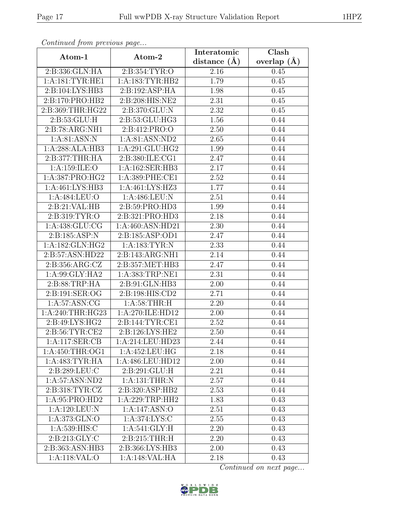| Continued from previous page |                                  | Interatomic       | Clash           |
|------------------------------|----------------------------------|-------------------|-----------------|
| Atom-1                       | Atom-2                           | distance $(A)$    | overlap $(\AA)$ |
| 2:B:336:GLN:HA               | 2:B:354:TYR:O                    | 2.16              | 0.45            |
| 1:A:181:TYR:HE1              | 1:A:183:TYR:HB2                  | 1.79              | 0.45            |
| 2:B:104:LYS:HB3              | 2:B:192:ASP:HA                   | 1.98              | 0.45            |
| 2:B:170:PRO:HB2              | 2:B:208:HIS:NE2                  | 2.31              | 0.45            |
| 2:B:369:THR:HG22             | 2:B:370:GLU:N                    | 2.32              | 0.45            |
| 2:B:53:GLU:H                 | 2:B:53:GLU:HG3                   | 1.56              | 0.44            |
| 2:B:78:ARG:NH1               | 2:B:412:PRO:O                    | 2.50              | 0.44            |
| 1: A:81: ASN: N              | 1:A:81:ASN:ND2                   | 2.65              | 0.44            |
| 1:A:288:ALA:HB3              | 1:A:291:GLU:HG2                  | 1.99              | 0.44            |
| 2: B: 377: THR: HA           | 2:B:380:ILE:CG1                  | 2.47              | 0.44            |
| 1:A:159:ILE:O                | 1:A:162:SER:HB3                  | 2.17              | 0.44            |
| 1:A:387:PRO:HG2              | 1:A:389:PHE:CE1                  | 2.52              | 0.44            |
| 1:A:461:LYS:HB3              | 1:A:461:LYS:HZ3                  | 1.77              | 0.44            |
| 1:A:484:LEU:O                | 1:A:486:LEU:N                    | 2.51              | 0.44            |
| 2:B:21:VAL:HB                | 2:B:59:PRO:HD3                   | 1.99              | 0.44            |
| 2:B:319:TYR:O                | 2:B:321:PRO:HD3                  | 2.18              | 0.44            |
| 1: A: 438: GLU: CG           | 1:A:460:ASN:HD21                 | 2.30              | 0.44            |
| 2:B:185:ASP:N                | 2:B:185:ASP:OD1                  | 2.47              | 0.44            |
| 1:A:182:GLN:HG2              | 1:A:183:TYR:N                    | 2.33              | 0.44            |
| 2:B:57:ASN:HD22              | 2:B:143:ARG:NH1                  | 2.14              | 0.44            |
| 2:B:356:ARG:CZ               | 2:B:357:MET:HB3                  | 2.47              | 0.44            |
| 1:A:99:GLY:HA2               | 1:A:383:TRP:NE1                  | 2.31              | 0.44            |
| 2:B:88:TRP:HA                | $2: B:91: \overline{GLN:HB3}$    | 2.00              | 0.44            |
| 2:B:191:SER:OG               | 2:B:198:HIS:CD2                  | 2.71              | 0.44            |
| 1: A:57: ASN: CG             | 1: A:58:THR:H                    | 2.20              | 0.44            |
| 1:A:240:THR:HG23             | 1:A:270:ILE:HD12                 | 2.00              | 0.44            |
| 2:B:49:LYS:HG2               | $2: B: 144: TYR: \overline{CE1}$ | 2.52              | 0.44            |
| 2: B:56: TYR: CE2            | 2: B: 126: LYS: HE2              | 2.50              | 0.44            |
| 1:A:117:SER:CB               | 1:A:214:LEU:HD23                 | 2.44              | 0.44            |
| 1:A:450:THR:OG1              | 1:A:452:LEU:HG                   | 2.18              | 0.44            |
| 1:A:483:TYR:HA               | 1:A:486:LEU:HD12                 | 2.00              | 0.44            |
| 2:B:289:LEU:C                | 2:B:291:GLU:H                    | 2.21              | 0.44            |
| 1:A:57:ASN:ND2               | 1:A:131:THR:N                    | 2.57              | 0.44            |
| 2:B:318:TYR:CZ               | 2:B:320:ASP:HB2                  | 2.53              | 0.44            |
| 1:A:95:PRO:HD2               | 1:A:229:TRP:HH2                  | 1.83              | 0.43            |
| 1: A: 120: LEU: N            | 1:A:147:ASN:O                    | $\overline{2.51}$ | 0.43            |
| 1:A:373:GLN:O                | 1: A:374: LYS: C                 | 2.55              | 0.43            |
| 1:A:539:HIS:C                | $1: A:541: \overline{GLY:H}$     | 2.20              | 0.43            |
| 2:B:213:GLY:C                | 2:B:215:THR:H                    | 2.20              | 0.43            |
| 2:B:363:ASN:HB3              | 2:B:366:LYS:HB3                  | 2.00              | 0.43            |
| $1: A:118:\overline{VAL}:O$  | 1:A:148:VAL:HA                   | 2.18              | 0.43            |

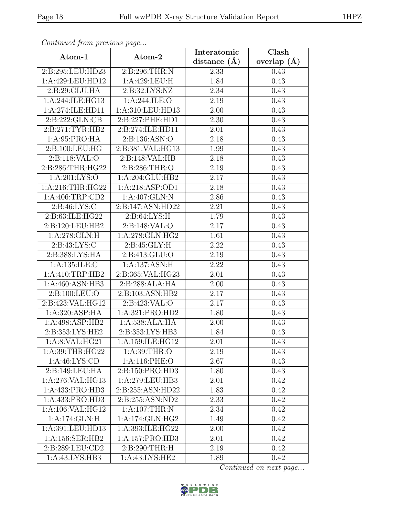| Continua from previous page |                   | Interatomic    | Clash           |
|-----------------------------|-------------------|----------------|-----------------|
| Atom-1                      | Atom-2            | distance $(A)$ | overlap $(\AA)$ |
| 2:B:295:LEU:HD23            | 2:B:296:THR:N     | 2.33           | 0.43            |
| 1:A:429:LEU:HD12            | 1:A:429:LEU:H     | 1.84           | 0.43            |
| 2:B:29:GLU:HA               | 2: B:32: LYS: NZ  | 2.34           | 0.43            |
| 1:A:244:ILE:HG13            | 1: A:244: ILE: O  | 2.19           | 0.43            |
| 1:A:274:ILE:HD11            | 1:A:310:LEU:HD13  | 2.00           | 0.43            |
| 2: B: 222: GLN: CB          | 2:B:227:PHE:HD1   | 2.30           | 0.43            |
| 2:B:271:TYR:HB2             | 2:B:274:ILE:HD11  | 2.01           | 0.43            |
| 1: A:95: PRO:HA             | 2:B:136:ASN:O     | 2.18           | 0.43            |
| 2:B:100:LEU:HG              | 2:B:381:VAL:HG13  | 1.99           | 0.43            |
| 2:B:118:VAL:O               | 2:B:148:VAL:HB    | 2.18           | 0.43            |
| 2:B:286:THR:HG22            | 2:B:286:THR:O     | 2.19           | 0.43            |
| 1: A:201: LYS:O             | 1:A:204:GLU:HB2   | 2.17           | 0.43            |
| 1:A:216:THR:HG22            | 1:A:218:ASP:OD1   | 2.18           | 0.43            |
| 1:A:406:TRP:CD2             | 1:A:407:GLN:N     | 2.86           | 0.43            |
| 2:B:46:LYS:C                | 2:B:147:ASN:HD22  | 2.21           | 0.43            |
| 2: B:63: ILE: HG22          | 2: B:64: LYS:H    | 1.79           | 0.43            |
| 2:B:120:LEU:HB2             | 2:B:148:VAL:O     | 2.17           | 0.43            |
| 1: A:278: GLN: H            | 1:A:278:GLN:HG2   | 1.61           | 0.43            |
| 2: B: 43: LYS:C             | 2:B:45:GLY:H      | 2.22           | 0.43            |
| 2:B:388:LYS:HA              | 2:B:413:GLU:O     | 2.19           | 0.43            |
| 1: A: 135: ILE:C            | 1:A:137:ASN:H     | 2.22           | 0.43            |
| 1:A:410:TRP:HB2             | 2:B:365:VAL:HG23  | 2.01           | 0.43            |
| 1:A:460:ASN:HB3             | 2: B:288: ALA: HA | 2.00           | 0.43            |
| 2:B:100:LEU:O               | 2:B:103:ASN:HB2   | 2.17           | 0.43            |
| 2:B:423:VAL:HG12            | 2: B: 423: VAL: O | 2.17           | 0.43            |
| 1:A:320:ASP:HA              | 1:A:321:PRO:HD2   | 1.80           | 0.43            |
| 1:A:498:ASP:HB2             | 1:A:538:ALA:HA    | 2.00           | 0.43            |
| 2:B:353:LYS:HE2             | 2:B:353:LYS:HB3   | 1.84           | 0.43            |
| 1:A:8:VAL:HG21              | 1:A:159:ILE:HG12  | 2.01           | 0.43            |
| 1: A:39:THR:HG22            | 1: A:39:THR:O     | 2.19           | 0.43            |
| 1: A:46: LYS:CD             | 1:A:116:PHE:O     | 2.67           | 0.43            |
| 2:B:149:LEU:HA              | 2:B:150:PRO:HD3   | 1.80           | 0.43            |
| 1:A:276:VAL:HG13            | 1:A:279:LEU:HB3   | 2.01           | 0.42            |
| 1:A:433:PRO:HD3             | 2:B:255:ASN:HD22  | 1.83           | 0.42            |
| 1:A:433:PRO:HD3             | 2:B:255:ASN:ND2   | 2.33           | 0.42            |
| 1:A:106:VAL:HG12            | 1: A:107:THR:N    | 2.34           | 0.42            |
| 1:A:174:GLN:H               | 1:A:174:GLN:HG2   | 1.49           | 0.42            |
| 1:A:391:LEU:HD13            | 1:A:393:ILE:HG22  | 2.00           | 0.42            |
| 1: A: 156: SER: HB2         | 1:A:157:PRO:HD3   | 2.01           | 0.42            |
| 2:B:289:LEU:CD2             | 2:B:290:THR:H     | 2.19           | 0.42            |
| 1:A:43:LYS:HB3              | 1:A:43:LYS:HE2    | 1.89           | 0.42            |

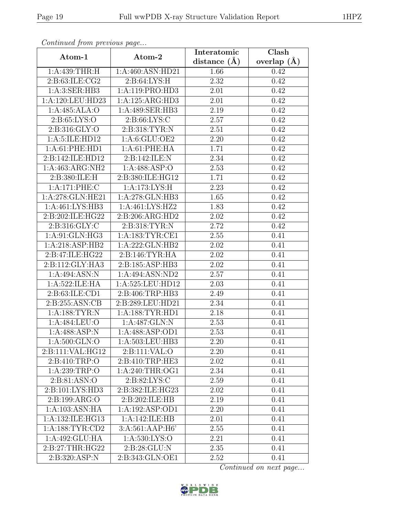| Continueu from pretious page |                             | Interatomic       | $\overline{\text{Clash}}$ |
|------------------------------|-----------------------------|-------------------|---------------------------|
| Atom-1                       | Atom-2                      | distance $(A)$    | overlap $(A)$             |
| 1: A:439:THR:H               | 1:A:460:ASN:HD21            | 1.66              | 0.42                      |
| 2:B:63:ILE:CG2               | 2: B:64: LYS:H              | $\overline{2.32}$ | 0.42                      |
| 1:A:3:SER:HB3                | 1:A:119:PRO:HD3             | 2.01              | 0.42                      |
| $1:$ A:120:LEU:HD23          | 1:A:125:ARG:HD3             | 2.01              | 0.42                      |
| 1:A:485:ALA:O                | 1:A:489:SER:HB3             | 2.19              | 0.42                      |
| 2: B:65: LYS:O               | 2: B:66: LYS:C              | 2.57              | 0.42                      |
| 2: B: 316: GLY:O             | 2:B:318:TYR:N               | 2.51              | 0.42                      |
| 1:A:5:ILE:HD12               | 1: A:6: GLU:OE2             | 2.20              | 0.42                      |
| 1: A:61: PHE:HD1             | 1: A:61:PHE:HA              | 1.71              | 0.42                      |
| 2:B:142:ILE:HD12             | 2:B:142:ILE:N               | 2.34              | 0.42                      |
| 1:A:463:ARG:NH2              | 1:A:488:ASP:O               | 2.53              | 0.42                      |
| 2:B:380:ILE:H                | 2:B:380:ILE:HG12            | 1.71              | 0.42                      |
| 1:A:171:PHE:C                | 1:A:173:LYS:H               | 2.23              | 0.42                      |
| 1:A:278:GLN:HE21             | 1:A:278:GLN:HB3             | 1.65              | 0.42                      |
| 1:A:461:LYS:HB3              | 1:A:461:LYS:HZ2             | 1.83              | 0.42                      |
| 2: B:202: ILE: HG22          | 2:B:206:ARG:HD2             | 2.02              | 0.42                      |
| 2:B:316:GLY:C                | 2:B:318:TYR:N               | 2.72              | 0.42                      |
| 1:A:91:GLN:HG3               | 1: A: 183: TYR: CE1         | 2.55              | 0.41                      |
| 1:A:218:ASP:HB2              | 1:A:222:GLN:HB2             | 2.02              | 0.41                      |
| 2:B:47:ILE:HG22              | 2: B:146: TYR: HA           | 2.02              | 0.41                      |
| 2:B:112:GLY:HA3              | 2:B:185:ASP:HB3             | 2.02              | 0.41                      |
| 1:A:494:ASN:N                | 1:A:494:ASN:ND2             | 2.57              | 0.41                      |
| 1: A:522: ILE: HA            | 1:A:525:LEU:HD12            | 2.03              | 0.41                      |
| 2:B:63:ILE:CD1               | 2:B:406:TRP:HB3             | 2.49              | 0.41                      |
| 2:B:255:ASN:CB               | 2:B:289:LEU:HD21            | 2.34              | 0.41                      |
| 1: A: 188: TYR: N            | 1: A: 188: TYR: HD1         | 2.18              | 0.41                      |
| 1: A:484:LEU:O               | 1:A:487:GLN:N               | 2.53              | 0.41                      |
| 1: A: 488: ASP: N            | 1:A:488:ASP:OD1             | 2.53              | 0.41                      |
| 1:A:500:GLN:O                | 1:A:503:LEU:HB3             | 2.20              | 0.41                      |
| 2:B:111:VAL:HG12             | $2:Bi:111:\overline{VAL:O}$ | 2.20              | 0.41                      |
| 2: B: 410: TRP: O            | 2:B:410:TRP:HE3             | 2.02              | 0.41                      |
| 1: A:239:TRP:O               | 1: A:240:THR:OG1            | 2.34              | 0.41                      |
| 2: B:81: ASN:O               | 2: B:82: LYS:C              | 2.59              | 0.41                      |
| 2:B:101:LYS:HD3              | 2:B:382:ILE:HG23            | 2.02              | 0.41                      |
| 2:B:199:ARG:O                | 2:B:202:ILE:HB              | 2.19              | 0.41                      |
| 1:A:103:ASN:HA               | 1:A:192:ASP:OD1             | 2.20              | 0.41                      |
| 1:A:132:ILE:HG13             | 1:A:142:ILE:HB              | 2.01              | 0.41                      |
| 1: A: 188: TYR: CD2          | 3:A:561:AAP:H6'             | 2.55              | 0.41                      |
| 1:A:492:GLU:HA               | 1: A:530: LYS:O             | 2.21              | 0.41                      |
| 2: B:27:THR:HG22             | 2:B:28:GLU:N                | 2.35              | 0.41                      |
| 2:B:320:ASP:N                | 2:B:343:GLN:OE1             | 2.52              | 0.41                      |

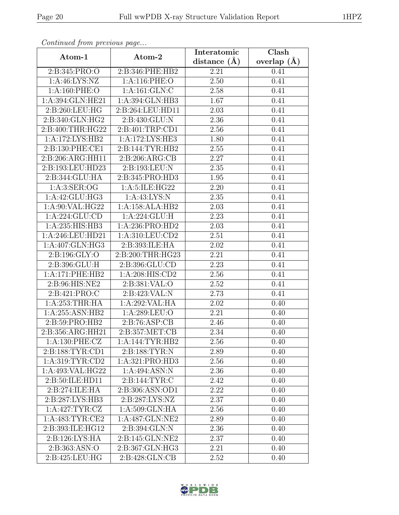| Continuati jibni protibus puga |                  | Interatomic       | Clash           |
|--------------------------------|------------------|-------------------|-----------------|
| Atom-1                         | Atom-2           | distance $(A)$    | overlap $(\AA)$ |
| 2:B:345:PRO:O                  | 2:B:346:PHE:HB2  | 2.21              | 0.41            |
| 1: A:46: LYS: NZ               | 1:A:116:PHE:O    | 2.50              | 0.41            |
| 1: A:160: PHE:O                | 1:A:161:GLN:C    | 2.58              | 0.41            |
| 1:A:394:GLN:HE21               | 1:A:394:GLN:HB3  | 1.67              | 0.41            |
| 2:B:260:LEU:HG                 | 2:B:264:LEU:HD11 | 2.03              | 0.41            |
| 2:B:340:GLN:HG2                | 2:B:430:GLU:N    | 2.36              | 0.41            |
| 2:B:400:THR:HG22               | 2:B:401:TRP:CD1  | 2.56              | 0.41            |
| 1:A:172:LYS:HB2                | 1:A:172:LYS:HE3  | 1.80              | 0.41            |
| 2:B:130:PHE:CE1                | 2:B:144:TYR:HB2  | $\overline{2.55}$ | 0.41            |
| 2:B:206:ARG:HH11               | 2: B:206: ARG:CB | 2.27              | 0.41            |
| 2:B:193:LEU:HD23               | 2:B:193:LEU:N    | 2.35              | 0.41            |
| 2:B:344:GLU:HA                 | 2:B:345:PRO:HD3  | 1.95              | 0.41            |
| 1: A:3: SER:OG                 | 1:A:5:ILE:HG22   | 2.20              | 0.41            |
| 1: A:42: GLU: HG3              | 1: A: 43: LYS: N | 2.35              | 0.41            |
| 1:A:90:VAL:HG22                | 1:A:158:ALA:HB2  | 2.03              | 0.41            |
| 1:A:224:GLU:CD                 | 1:A:224:GLU:H    | 2.23              | 0.41            |
| 1:A:235:HIS:HB3                | 1:A:236:PRO:HD2  | 2.03              | 0.41            |
| 1:A:246:LEU:HD21               | 1:A:310:LEU:CD2  | 2.51              | 0.41            |
| 1:A:407:GLN:HG3                | 2:B:393:ILE:HA   | 2.02              | 0.41            |
| 2: B: 196: GLY: O              | 2:B:200:THR:HG23 | 2.21              | 0.41            |
| 2:B:396:GLU:H                  | 2:B:396:GLU:CD   | 2.23              | 0.41            |
| 1:A:171:PHE:HB2                | 1:A:208:HIS:CD2  | 2.56              | 0.41            |
| 2:B:96:HIS:NE2                 | 2: B:381: VAL:O  | 2.52              | 0.41            |
| 2:B:421:PRO:C                  | 2:B:423:VAL:N    | 2.73              | 0.41            |
| 1: A:253:THR:HA                | 1:A:292:VAL:HA   | 2.02              | 0.40            |
| 1:A:255:ASN:HB2                | 1:A:289:LEU:O    | 2.21              | 0.40            |
| 2:B:59:PRO:HB2                 | 2: B:76: ASP:CB  | 2.46              | 0.40            |
| 2:B:356:ARG:HH21               | 2:B:357:MET:CB   | 2.34              | 0.40            |
| 1:A:130:PHE:CZ                 | 1:A:144:TYR:HB2  | 2.56              | 0.40            |
| 2:B:188:TYR:CD1                | 2:B:188:TYR:N    | 2.89              | 0.40            |
| 1: A:319: TYR: CD2             | 1:A:321:PRO:HD3  | 2.56              | 0.40            |
| 1:A:493:VAL:HG22               | 1:A:494:ASN:N    | 2.36              | 0.40            |
| 2:B:50:ILE:HD11                | 2:Bi:144:TYR:C   | 2.42              | 0.40            |
| 2:B:274:ILE:HA                 | 2:B:306:ASN:OD1  | 2.22              | 0.40            |
| 2:B:287:LYS:HB3                | 2:B:287:LYS:NZ   | 2.37              | 0.40            |
| 1:A:427:TYR:CZ                 | 1:A:509:GLN:HA   | 2.56              | 0.40            |
| 1: A:483: TYR: CE2             | 1:A:487:GLN:NE2  | 2.89              | 0.40            |
| 2:B:393:ILE:HG12               | 2:B:394:GLN:N    | 2.36              | 0.40            |
| 2:B:126:LYS:HA                 | 2:B:145:GLN:NE2  | 2.37              | 0.40            |
| 2:B:363:ASN:O                  | 2:B:367:GLN:HG3  | 2.21              | 0.40            |
| 2:B:425:LEU:HG                 | 2:B:428:GLN:CB   | 2.52              | 0.40            |

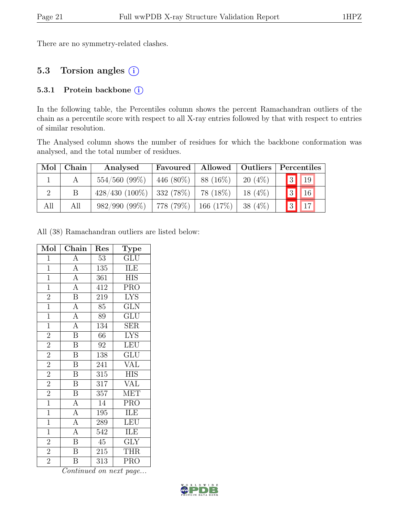There are no symmetry-related clashes.

#### 5.3 Torsion angles (i)

#### 5.3.1 Protein backbone (i)

In the following table, the Percentiles column shows the percent Ramachandran outliers of the chain as a percentile score with respect to all X-ray entries followed by that with respect to entries of similar resolution.

The Analysed column shows the number of residues for which the backbone conformation was analysed, and the total number of residues.

| Mol | Chain | Analysed         | Favoured              | Allowed   | Outliers  |  | Percentiles              |  |
|-----|-------|------------------|-----------------------|-----------|-----------|--|--------------------------|--|
|     |       | $554/560$ (99%)  | 446 (80%)             | 88 (16\%) | $20(4\%)$ |  | $\boxed{3}$ $\boxed{19}$ |  |
|     |       | $428/430(100\%)$ | $332(78\%)$ 78 (18\%) |           | $18(4\%)$ |  | $\boxed{3}$ $\boxed{16}$ |  |
| All | All   | $982/990 (99\%)$ | 778 (79%)   166 (17%) |           | $38(4\%)$ |  | $\boxed{3}$ $\boxed{17}$ |  |

All (38) Ramachandran outliers are listed below:

| Mol            | Chain                               | Res              | $\mathrm{\bar{Ty}pe}$     |
|----------------|-------------------------------------|------------------|---------------------------|
| $\overline{1}$ | A                                   | 53               | GLU                       |
| $\overline{1}$ | $\overline{A}$                      | 135              | ILE                       |
| $\mathbf{1}$   | $\overline{A}$                      | 361              | <b>HIS</b>                |
| $\mathbf{1}$   | $\overline{A}$                      | 412              | $\overline{P}RO$          |
| $\overline{2}$ | $\overline{\mathbf{B}}$             | 219              | <b>LYS</b>                |
| $\overline{1}$ | $\frac{\overline{A}}{\overline{A}}$ | 85               | GLN                       |
| $\overline{1}$ |                                     | 89               | $\overline{\mathrm{GLU}}$ |
| $\overline{1}$ | $\overline{A}$                      | $\overline{134}$ | <b>SER</b>                |
| $\overline{2}$ | $\overline{\mathbf{B}}$             | 66               | <b>LYS</b>                |
| $\overline{2}$ | $\overline{\mathbf{B}}$             | 92               | LEU                       |
| $\overline{2}$ | $\overline{\mathbf{B}}$             | 138              | <b>GLU</b>                |
| $\overline{2}$ | $\overline{\mathrm{B}}$             | 241              | $\overline{\text{VAL}}$   |
| $\overline{2}$ | $\, {\bf B}$                        | $\overline{315}$ | <b>HIS</b>                |
| $\overline{2}$ | $\overline{\mathbf{B}}$             | 317              | <b>VAL</b>                |
| $\overline{2}$ | $\overline{\mathbf{B}}$             | 357              | $\overline{\text{MET}}$   |
| $\mathbf{1}$   | $\overline{A}$                      | 14               | $PR\overline{O}$          |
| $\mathbf{1}$   | $\overline{A}$                      | 195              | ILE                       |
| $\mathbf{1}$   | $\overline{A}$                      | 289              | LEU                       |
| $\overline{1}$ | $\overline{A}$                      | 542              | ILE                       |
| $\overline{2}$ | $\overline{\mathbf{B}}$             | 45               | <b>GLY</b>                |
| $\overline{2}$ | $\overline{\mathbf{B}}$             | 215              | <b>THR</b>                |
| $\overline{2}$ | Β                                   | 313              | <b>PRO</b>                |

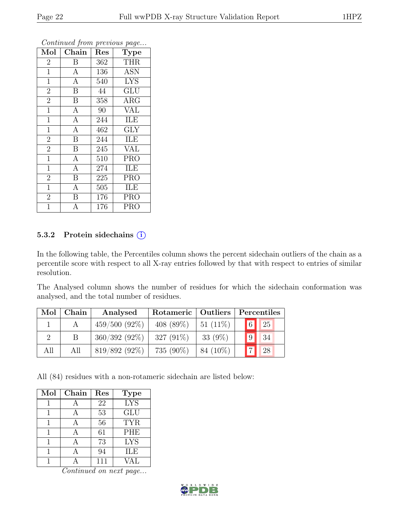| Mol            | Chain            | Res | <b>Type</b>             |
|----------------|------------------|-----|-------------------------|
| $\overline{2}$ | Β                | 362 | <b>THR</b>              |
| $\mathbf{1}$   | $\mathbf{A}$     | 136 | <b>ASN</b>              |
| $\overline{1}$ | $\overline{A}$   | 540 | <b>LYS</b>              |
| $\overline{2}$ | $\boldsymbol{B}$ | 44  | GLU                     |
| $\overline{2}$ | $\boldsymbol{B}$ | 358 | $\rm{ARG}$              |
| $\mathbf{1}$   | $\boldsymbol{A}$ | 90  | <b>VAL</b>              |
| $\mathbf{1}$   | $\mathbf{A}$     | 244 | ILE                     |
| $\overline{1}$ | $\overline{A}$   | 462 | $\overline{\text{GLY}}$ |
| $\overline{2}$ | $\, {\bf B}$     | 244 | ILE                     |
| $\overline{2}$ | B                | 245 | <b>VAL</b>              |
| $\overline{1}$ | $\mathbf{A}$     | 510 | <b>PRO</b>              |
| $\overline{1}$ | $\overline{A}$   | 274 | ILE                     |
| $\overline{2}$ | $\overline{B}$   | 225 | <b>PRO</b>              |
| $\mathbf{1}$   | $\overline{A}$   | 505 | ILE                     |
| $\overline{2}$ | B                | 176 | <b>PRO</b>              |
| 1              | А                | 176 | <b>PRO</b>              |

#### 5.3.2 Protein sidechains (i)

In the following table, the Percentiles column shows the percent sidechain outliers of the chain as a percentile score with respect to all X-ray entries followed by that with respect to entries of similar resolution.

The Analysed column shows the number of residues for which the sidechain conformation was analysed, and the total number of residues.

| Mol | Chain | Analysed        | Rotameric   Outliers |            | Percentiles    |    |  |
|-----|-------|-----------------|----------------------|------------|----------------|----|--|
|     |       | $459/500(92\%)$ | 408 $(89\%)$         | $51(11\%)$ | $\boxed{6}$ 25 |    |  |
|     |       | $360/392(92\%)$ | 327 $(91\%)$         | 33 $(9\%)$ | 9              | 34 |  |
| All | All   | $819/892(92\%)$ | 735 (90%)            | 84 (10\%)  | 7 28           |    |  |

All (84) residues with a non-rotameric sidechain are listed below:

| Mol | Chain | Res | <b>Type</b> |
|-----|-------|-----|-------------|
|     |       | 22  | <b>LYS</b>  |
|     |       | 53  | <b>GLU</b>  |
| 1   |       | 56  | <b>TYR</b>  |
|     |       | 61  | PHE         |
|     |       | 73  | <b>LYS</b>  |
|     |       | 94  | <b>ILE</b>  |
|     |       | 111 | VAL         |

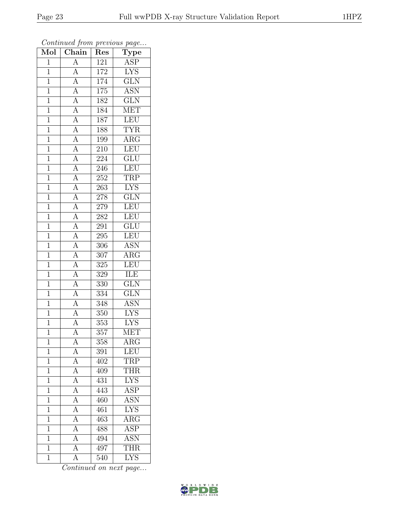| Mol            | $\boldsymbol{\theta}$<br>Chain                                                                                                                                                                        | x.<br>Res        | $\mathbf{r}$<br>$\overline{v}$<br>$\mathrm{Type}$ |
|----------------|-------------------------------------------------------------------------------------------------------------------------------------------------------------------------------------------------------|------------------|---------------------------------------------------|
| $\mathbf{1}$   | $\overline{A}$                                                                                                                                                                                        | 121              | ASP                                               |
| $\mathbf{1}$   | $\overline{A}$                                                                                                                                                                                        | 172              | <b>LYS</b>                                        |
| $\overline{1}$ |                                                                                                                                                                                                       | 174              | $\overline{\text{GLN}}$                           |
| $\overline{1}$ |                                                                                                                                                                                                       | 175              | <b>ASN</b>                                        |
| $\overline{1}$ | $\frac{\overline{A}}{\overline{A}}$<br>$\frac{\overline{A}}{\overline{A}}$                                                                                                                            | 182              | $\overline{\text{GLN}}$                           |
| $\overline{1}$ |                                                                                                                                                                                                       | 184              | <b>MET</b>                                        |
| $\overline{1}$ |                                                                                                                                                                                                       | 187              | LEU                                               |
| $\mathbf{1}$   |                                                                                                                                                                                                       | 188              | <b>TYR</b>                                        |
| $\overline{1}$ |                                                                                                                                                                                                       | 199              | $\overline{\text{ARG}}$                           |
| $\overline{1}$ |                                                                                                                                                                                                       | 210              | LEU                                               |
| $\mathbf{1}$   |                                                                                                                                                                                                       | 224              | $\overline{{\rm GLU}}$                            |
| $\mathbf{1}$   |                                                                                                                                                                                                       | 246              | LEU                                               |
| $\,1$          |                                                                                                                                                                                                       | 252              | <b>TRP</b>                                        |
| $\overline{1}$ | $\frac{\boxed{A}}{\boxed{A}} \frac{\boxed{A}}{\boxed{A}} \frac{\boxed{A}}{\boxed{A}} \frac{\boxed{A}}{\boxed{A}} \frac{\boxed{A}}{\boxed{A}} \frac{\boxed{A}}{\boxed{A}} \frac{\boxed{A}}{\boxed{A}}$ | 263              | $\overline{\text{LYS}}$                           |
| $\overline{1}$ |                                                                                                                                                                                                       | 278              | $\overline{\text{GLN}}$                           |
| $\mathbf{1}$   |                                                                                                                                                                                                       | 279              | LEU                                               |
| $\mathbf{1}$   |                                                                                                                                                                                                       | 282              | LEU                                               |
| $\overline{1}$ |                                                                                                                                                                                                       | 291              | $\overline{\text{GLU}}$                           |
| $\overline{1}$ |                                                                                                                                                                                                       | 295              | LEU                                               |
| $\overline{1}$ |                                                                                                                                                                                                       | 306              | <b>ASN</b>                                        |
| $\mathbf{1}$   |                                                                                                                                                                                                       | 307              | $\rm{ARG}$                                        |
| $\overline{1}$ |                                                                                                                                                                                                       | $\overline{32}5$ | LEU                                               |
| $\mathbf 1$    |                                                                                                                                                                                                       | 329              | ILE                                               |
| $\overline{1}$ | $\overline{A}$                                                                                                                                                                                        | 330              | $\overline{\text{GLN}}$                           |
| $\overline{1}$ | $\overline{A}$                                                                                                                                                                                        | $\overline{334}$ | $\overline{\text{GLN}}$                           |
| $\mathbf{1}$   | $\overline{A}$                                                                                                                                                                                        | 348              | <b>ASN</b>                                        |
| $\overline{1}$ | $\frac{\overline{A}}{\overline{A}}$                                                                                                                                                                   | $\overline{350}$ | <b>LYS</b>                                        |
| $\overline{1}$ |                                                                                                                                                                                                       | $353\,$          | <b>LYS</b>                                        |
| $\overline{1}$ | $\overline{\rm A}$                                                                                                                                                                                    | 357              | <b>MET</b>                                        |
| 1              | А                                                                                                                                                                                                     | 358              | $\rm{ARG}$                                        |
| $\mathbf{1}$   | A                                                                                                                                                                                                     | 391              | LEU                                               |
| $\mathbf{1}$   | $\overline{A}$                                                                                                                                                                                        | 402              | <b>TRP</b>                                        |
| $\mathbf{1}$   | $\overline{A}$                                                                                                                                                                                        | 409              | <b>THR</b>                                        |
| $\overline{1}$ | $\overline{A}$                                                                                                                                                                                        | 431              | <b>LYS</b>                                        |
| $\mathbf 1$    | $\overline{A}$                                                                                                                                                                                        | 443              | ASP                                               |
| $\mathbf 1$    | $\overline{A}$                                                                                                                                                                                        | 460              | <b>ASN</b>                                        |
| $\mathbf 1$    | $\overline{A}$                                                                                                                                                                                        | 461              | <b>LYS</b>                                        |
| $\overline{1}$ | $\overline{A}$                                                                                                                                                                                        | 463              | $\overline{\rm{ARG}}$                             |
| $\mathbf{1}$   | $\overline{A}$                                                                                                                                                                                        | 488              | $\overline{\text{ASP}}$                           |
| $\mathbf{1}$   | $\overline{A}$                                                                                                                                                                                        | 494              | <b>ASN</b>                                        |
| $\mathbf 1$    | $\overline{\rm A}$                                                                                                                                                                                    | 497              | <b>THR</b>                                        |
| $\mathbf{1}$   | $\overline{\rm A}$                                                                                                                                                                                    | 540              | $\overline{\text{LYS}}$                           |

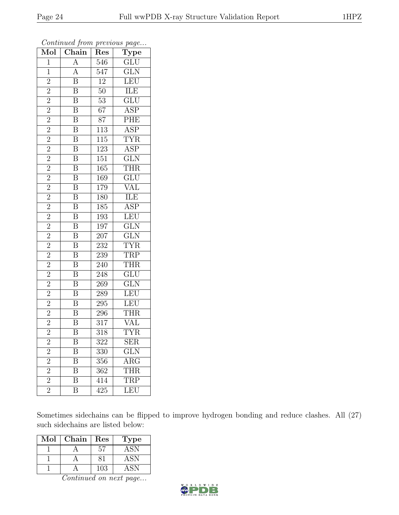| Mol            | Chain                   | $\operatorname{Res}% \left( \mathcal{N}\right) \equiv\operatorname{Res}(\mathcal{N}_{0})\left( \mathcal{N}_{0}\right) ^{2}$ | $\overline{\text{Type}}$ |
|----------------|-------------------------|-----------------------------------------------------------------------------------------------------------------------------|--------------------------|
| $\mathbf{1}$   | A                       | $\overline{546}$                                                                                                            | GLU                      |
| $\mathbf{1}$   | $\overline{A}$          | 547                                                                                                                         | $\overline{\text{GLN}}$  |
| $\overline{2}$ | $\overline{\mathbf{B}}$ | $\overline{12}$                                                                                                             | LEU                      |
| $\overline{2}$ | $\overline{\mathbf{B}}$ | $50\,$                                                                                                                      | ILE                      |
| $\overline{2}$ | $\overline{\mathbf{B}}$ | $\overline{53}$                                                                                                             | $\overline{\text{GLU}}$  |
| $\overline{2}$ | $\overline{\mathbf{B}}$ | $67\,$                                                                                                                      | ASP                      |
| $\overline{2}$ | $\overline{\mathbf{B}}$ | $\overline{87}$                                                                                                             | PHE                      |
| $\overline{2}$ | $\overline{\mathbf{B}}$ | $\overline{113}$                                                                                                            | $\overline{\text{ASP}}$  |
| $\overline{2}$ | $\overline{\mathbf{B}}$ | $\overline{115}$                                                                                                            | <b>TYR</b>               |
| $\overline{2}$ | $\overline{\mathbf{B}}$ | 123                                                                                                                         | $\overline{\text{ASP}}$  |
| $\overline{2}$ | $\overline{\mathbf{B}}$ | 151                                                                                                                         | $\overline{\text{GLN}}$  |
| $\overline{2}$ | $\overline{\mathbf{B}}$ | 165                                                                                                                         | <b>THR</b>               |
| $\overline{2}$ | $\overline{\mathbf{B}}$ | 169                                                                                                                         | GLU                      |
| $\overline{2}$ | $\overline{\mathbf{B}}$ | 179                                                                                                                         | $\overline{\text{VAL}}$  |
| $\overline{2}$ | $\overline{\mathbf{B}}$ | 180                                                                                                                         | <b>ILE</b>               |
| $\overline{2}$ | $\overline{\mathbf{B}}$ | 185                                                                                                                         | $\overline{\text{ASP}}$  |
| $\overline{2}$ | $\overline{\mathbf{B}}$ | 193                                                                                                                         | LEU                      |
| $\overline{2}$ | $\overline{\mathbf{B}}$ | 197                                                                                                                         | GLN                      |
| $\overline{2}$ | $\overline{\mathbf{B}}$ | 207                                                                                                                         | $\overline{\text{GLN}}$  |
| $\overline{2}$ | $\overline{\mathbf{B}}$ | $\overline{232}$                                                                                                            | <b>TYR</b>               |
| $\overline{2}$ | $\overline{\mathbf{B}}$ | 239                                                                                                                         | <b>TRP</b>               |
| $\overline{2}$ | $\overline{\mathbf{B}}$ | $\overline{240}$                                                                                                            | <b>THR</b>               |
| $\overline{2}$ | $\overline{\mathbf{B}}$ | 248                                                                                                                         | $\overline{\text{GLU}}$  |
| $\overline{2}$ | $\overline{\mathrm{B}}$ | 269                                                                                                                         | $\overline{\text{GLN}}$  |
| $\overline{2}$ | $\overline{\mathbf{B}}$ | $289\,$                                                                                                                     | LEU                      |
| $\overline{2}$ | $\overline{\mathbf{B}}$ | $\overline{295}$                                                                                                            | LEU                      |
| $\overline{2}$ | $\overline{\mathbf{B}}$ | $\,296$                                                                                                                     | <b>THR</b>               |
| $\overline{2}$ | $\overline{\mathrm{B}}$ | $317\,$                                                                                                                     | VAL                      |
| $\overline{2}$ | $\overline{\mathrm{B}}$ | $\overline{318}$                                                                                                            | $\overline{\text{TYR}}$  |
| $\overline{c}$ | Β                       | 322                                                                                                                         | $\operatorname{SER}$     |
| $\overline{c}$ | B                       | 330                                                                                                                         | $\overline{\text{GLN}}$  |
| $\overline{2}$ | $\overline{\mathrm{B}}$ | 356                                                                                                                         | $\overline{\text{ARG}}$  |
| $\overline{2}$ | $\overline{\mathrm{B}}$ | 362                                                                                                                         | <b>THR</b>               |
| $\overline{2}$ | $\overline{\mathrm{B}}$ | 414                                                                                                                         | <b>TRP</b>               |
| $\overline{2}$ | Β                       | 425                                                                                                                         | LEU                      |

Continued from previous page...

Sometimes sidechains can be flipped to improve hydrogen bonding and reduce clashes. All (27) such sidechains are listed below:

| $\operatorname{Mol}$ | Chain | Res | 'Type |
|----------------------|-------|-----|-------|
|                      |       | 57  | ASN   |
|                      |       |     | ASN   |
|                      |       | 103 |       |

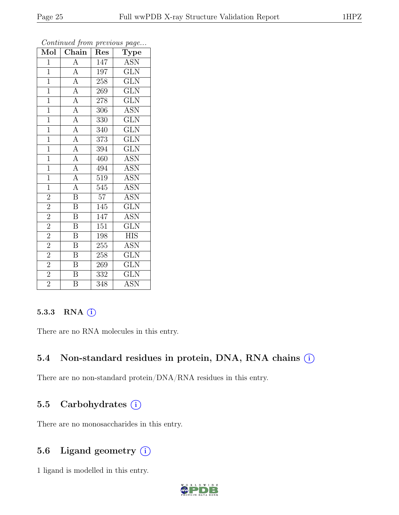| $\overline{\text{Mol}}$ | $\overline{\text{Chain}}$                                                                                   | Res             | $\mathbf{r}$<br>$\mathbf{v}$<br>Type |
|-------------------------|-------------------------------------------------------------------------------------------------------------|-----------------|--------------------------------------|
| 1                       | A                                                                                                           | 147             | <b>ASN</b>                           |
| $\mathbf{1}$            | $\overline{A}$                                                                                              | 197             | $\widetilde{\operatorname{GLN}}$     |
| $\overline{1}$          |                                                                                                             | 258             | $\overline{\text{GLN}}$              |
| $\overline{1}$          |                                                                                                             | 269             | $\overline{\text{GLN}}$              |
| $\overline{1}$          |                                                                                                             | 278             | $\overline{\text{GLN}}$              |
| $\mathbf{1}$            | $\frac{\overline{A}}{\overline{A}}$ $\frac{\overline{A}}{\overline{A}}$ $\frac{\overline{A}}{\overline{A}}$ | 306             | <b>ASN</b>                           |
| $\overline{1}$          |                                                                                                             | 330             | $\widetilde{\mathrm{GLN}}$           |
| $\mathbf{1}$            |                                                                                                             | 340             | $\overline{\text{GLN}}$              |
| $\mathbf{1}$            |                                                                                                             | 373             | $\overline{\text{GLN}}$              |
| $\mathbf{1}$            | $\overline{A}$                                                                                              | 394             | $\overline{\text{GLN}}$              |
| $\mathbf{1}$            | $\overline{A}$                                                                                              | 460             | <b>ASN</b>                           |
| $\overline{1}$          | $\frac{\overline{A}}{\overline{A}}$                                                                         | 494             | $\overline{\text{ASN}}$              |
| $\mathbf{1}$            |                                                                                                             | 519             | <b>ASN</b>                           |
| $\mathbf{1}$            | $\overline{A}$                                                                                              | 545             | <b>ASN</b>                           |
| $\overline{2}$          | $\overline{\mathrm{B}}$                                                                                     | $\overline{57}$ | $\overline{\mathrm{ASN}}$            |
| $\overline{2}$          | B                                                                                                           | 145             | $\overline{\text{GLN}}$              |
| $\overline{2}$          | $\overline{\mathrm{B}}$                                                                                     | 147             | <b>ASN</b>                           |
| $\overline{2}$          | B                                                                                                           | 151             | <b>GLN</b>                           |
| $\overline{2}$          | $\boldsymbol{B}$                                                                                            | 198             | <b>HIS</b>                           |
| $\overline{2}$          | $\overline{\mathrm{B}}$                                                                                     | 255             | ASN                                  |
| $\overline{2}$          | $\overline{\text{B}}$                                                                                       | 258             | <b>GLN</b>                           |
| $\overline{2}$          | $\overline{\mathrm{B}}$                                                                                     | 269             | $\overline{\text{GLN}}$              |
| $\overline{2}$          | $\overline{B}$                                                                                              | 332             | <b>GLN</b>                           |
| $\overline{2}$          | $\overline{\mathrm{B}}$                                                                                     | 348             | $\overline{\mathrm{ASN}}$            |

#### 5.3.3 RNA  $(i)$

There are no RNA molecules in this entry.

#### 5.4 Non-standard residues in protein, DNA, RNA chains  $(i)$

There are no non-standard protein/DNA/RNA residues in this entry.

#### 5.5 Carbohydrates (i)

There are no monosaccharides in this entry.

#### 5.6 Ligand geometry  $(i)$

1 ligand is modelled in this entry.

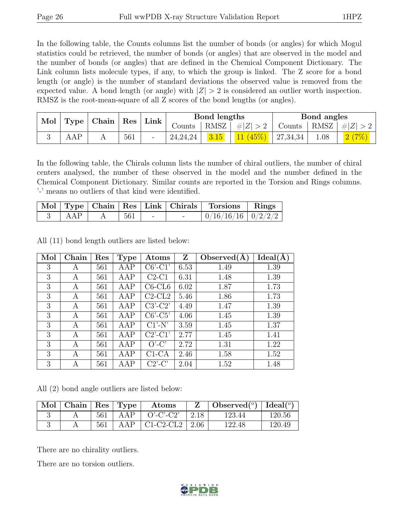In the following table, the Counts columns list the number of bonds (or angles) for which Mogul statistics could be retrieved, the number of bonds (or angles) that are observed in the model and the number of bonds (or angles) that are defined in the Chemical Component Dictionary. The Link column lists molecule types, if any, to which the group is linked. The Z score for a bond length (or angle) is the number of standard deviations the observed value is removed from the expected value. A bond length (or angle) with  $|Z| > 2$  is considered an outlier worth inspection. RMSZ is the root-mean-square of all Z scores of the bond lengths (or angles).

| Mol<br>$\vert$ Type $\vert$ Chain $\vert$ Res $\vert$ Link $\vert$ |     |  |        |            | Bond lengths                       |                       |                    | Bond angles |       |
|--------------------------------------------------------------------|-----|--|--------|------------|------------------------------------|-----------------------|--------------------|-------------|-------|
|                                                                    |     |  | Counts |            | $\vert$ RMSZ $\vert \#Z \vert > 2$ | Counts   RMSZ $\vert$ |                    | #Z >2       |       |
|                                                                    | AAP |  | 561    | 24, 24, 24 | 3.15                               | 11(45%)               | $ 27,34,34\rangle$ | 1.08        | 2(7%) |

In the following table, the Chirals column lists the number of chiral outliers, the number of chiral centers analysed, the number of these observed in the model and the number defined in the Chemical Component Dictionary. Similar counts are reported in the Torsion and Rings columns. '-' means no outliers of that kind were identified.

|     |     |        | Mol   Type   Chain   Res   Link   Chirals   Torsions   Rings |  |
|-----|-----|--------|--------------------------------------------------------------|--|
| AAP | 561 | $\sim$ | $0/16/16/16$   $0/2/2/2$                                     |  |

All (11) bond length outliers are listed below:

| Mol | Chain | Res | <b>Type</b> | Atoms          | Z    | Observed $(A)$ | Ideal(A) |
|-----|-------|-----|-------------|----------------|------|----------------|----------|
| 3   | А     | 561 | AAP         | $C6'$ - $C1'$  | 6.53 | 1.49           | 1.39     |
| 3   | А     | 561 | AAP         | $C2-C1$        | 6.31 | 1.48           | 1.39     |
| 3   | A     | 561 | AAP         | $C6$ - $CL6$   | 6.02 | 1.87           | 1.73     |
| 3   | A     | 561 | AAP         | $C2$ - $CL2$   | 5.46 | 1.86           | 1.73     |
| 3   | A     | 561 | AAP         | $C3'-C2'$      | 4.49 | 1.47           | 1.39     |
| 3   | A     | 561 | AAP         | $C6'-C5'$      | 4.06 | 1.45           | 1.39     |
| 3   | A     | 561 | AAP         | $C1'$ -N'      | 3.59 | 1.45           | 1.37     |
| 3   | A     | 561 | AAP         | $C2$ '-C $1$ ' | 2.77 | 1.45           | 1.41     |
| 3   | A     | 561 | AAP         | $O'$ -C'       | 2.72 | 1.31           | 1.22     |
| 3   | A     | 561 | AAP         | $C1-CA$        | 2.46 | 1.58           | 1.52     |
| 3   | А     | 561 | AAP         | $C2$ '-C'      | 2.04 | 1.52           | 1.48     |

All (2) bond angle outliers are listed below:

| $\mathbb{N}$ ol   Chain   Res   Type |     |     | Atoms                              |               | Observed <sup>(<math>^o</math>)</sup> [deal( $^o$ ) |        |
|--------------------------------------|-----|-----|------------------------------------|---------------|-----------------------------------------------------|--------|
|                                      | 561 | AAP | $O'-C'-C2'$                        | $\sqrt{2.18}$ | 123.44                                              | 120.56 |
|                                      | 561 |     | AAP $\vert$ C1-C2-CL2 $\vert$ 2.06 |               | 122.48                                              | 120.49 |

There are no chirality outliers.

There are no torsion outliers.

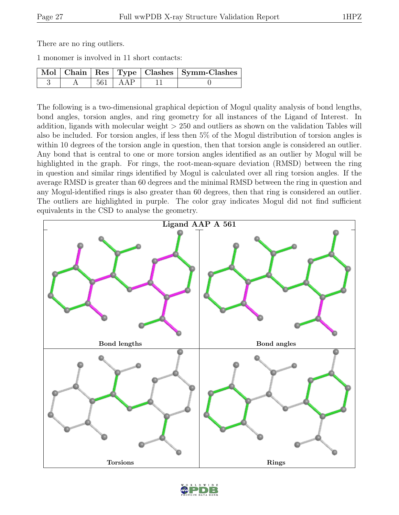There are no ring outliers.

1 monomer is involved in 11 short contacts:

|  |             | Mol   Chain   Res   Type   Clashes   Symm-Clashes |
|--|-------------|---------------------------------------------------|
|  | $561$   AAP |                                                   |

The following is a two-dimensional graphical depiction of Mogul quality analysis of bond lengths, bond angles, torsion angles, and ring geometry for all instances of the Ligand of Interest. In addition, ligands with molecular weight > 250 and outliers as shown on the validation Tables will also be included. For torsion angles, if less then 5% of the Mogul distribution of torsion angles is within 10 degrees of the torsion angle in question, then that torsion angle is considered an outlier. Any bond that is central to one or more torsion angles identified as an outlier by Mogul will be highlighted in the graph. For rings, the root-mean-square deviation (RMSD) between the ring in question and similar rings identified by Mogul is calculated over all ring torsion angles. If the average RMSD is greater than 60 degrees and the minimal RMSD between the ring in question and any Mogul-identified rings is also greater than 60 degrees, then that ring is considered an outlier. The outliers are highlighted in purple. The color gray indicates Mogul did not find sufficient equivalents in the CSD to analyse the geometry.



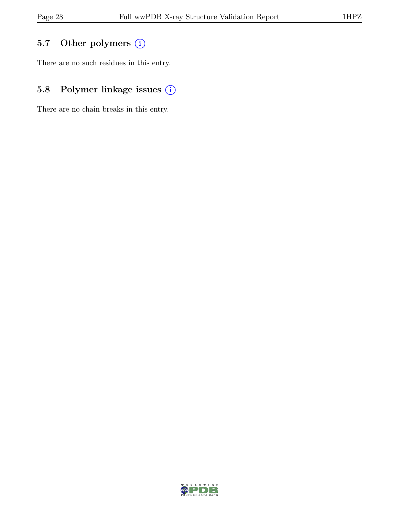## 5.7 Other polymers (i)

There are no such residues in this entry.

## 5.8 Polymer linkage issues  $(i)$

There are no chain breaks in this entry.

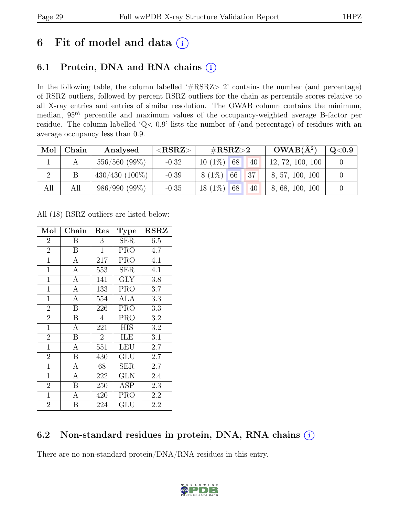## 6 Fit of model and data  $(i)$

## 6.1 Protein, DNA and RNA chains  $(i)$

In the following table, the column labelled ' $\#\text{RSRZ}>2$ ' contains the number (and percentage) of RSRZ outliers, followed by percent RSRZ outliers for the chain as percentile scores relative to all X-ray entries and entries of similar resolution. The OWAB column contains the minimum, median,  $95<sup>th</sup>$  percentile and maximum values of the occupancy-weighted average B-factor per residue. The column labelled 'Q< 0.9' lists the number of (and percentage) of residues with an average occupancy less than 0.9.

| Mol | Chain | Analysed            | ${ <\hspace{-1.5pt} {\rm RSRZ}\hspace{-1.5pt}>}$ | $\#\text{RSRZ}\text{>2}$ | $OWAB(A^2)$      | $\rm Q\textcolor{black}{<}0.9$ |
|-----|-------|---------------------|--------------------------------------------------|--------------------------|------------------|--------------------------------|
|     |       | $556/560$ (99%)     | $-0.32$                                          | $10(1\%)$ 68<br>40       | 12, 72, 100, 100 |                                |
|     |       | $430/430$ $(100\%)$ | $-0.39$                                          | 37 <br>$8(1\%)$ 66       | 8, 57, 100, 100  |                                |
| All | All   | $986/990 (99\%)$    | $-0.35$                                          | $18(1\%)$ 68<br>40       | 8, 68, 100, 100  |                                |

All (18) RSRZ outliers are listed below:

| Mol            | Chain            | Res            | <b>Type</b> | $\operatorname{RSRZ}$ |
|----------------|------------------|----------------|-------------|-----------------------|
| $\overline{2}$ | Β                | 3              | <b>SER</b>  | 6.5                   |
| $\overline{2}$ | B                | $\mathbf 1$    | <b>PRO</b>  | 4.7                   |
| $\mathbf{1}$   | А                | 217            | <b>PRO</b>  | 4.1                   |
| $\mathbf{1}$   | А                | 553            | <b>SER</b>  | 4.1                   |
| $\mathbf{1}$   | А                | 141            | <b>GLY</b>  | 3.8                   |
| $\mathbf{1}$   | А                | 133            | <b>PRO</b>  | 3.7                   |
| $\mathbf{1}$   | А                | 554            | ALA         | 3.3                   |
| $\overline{2}$ | $\boldsymbol{B}$ | 226            | <b>PRO</b>  | 3.3                   |
| $\overline{2}$ | $\boldsymbol{B}$ | $\overline{4}$ | <b>PRO</b>  | 3.2                   |
| $\overline{1}$ | А                | 221            | <b>HIS</b>  | 3.2                   |
| $\overline{2}$ | $\boldsymbol{B}$ | $\overline{2}$ | ILE         | 3.1                   |
| $\mathbf{1}$   | A                | 551            | <b>LEU</b>  | 2.7                   |
| $\overline{2}$ | B                | 430            | GLU         | 2.7                   |
| $\mathbf{1}$   | $\mathbf{A}$     | 68             | <b>SER</b>  | 2.7                   |
| $\mathbf{1}$   | A                | 222            | GLN         | 2.4                   |
| $\overline{2}$ | Β                | 250            | ASP         | 2.3                   |
| $\mathbf{1}$   | Α                | 420            | PRO         | 2.2                   |
| $\overline{2}$ | В                | 224            | GLU         | 2.2                   |

#### 6.2 Non-standard residues in protein, DNA, RNA chains (i)

There are no non-standard protein/DNA/RNA residues in this entry.

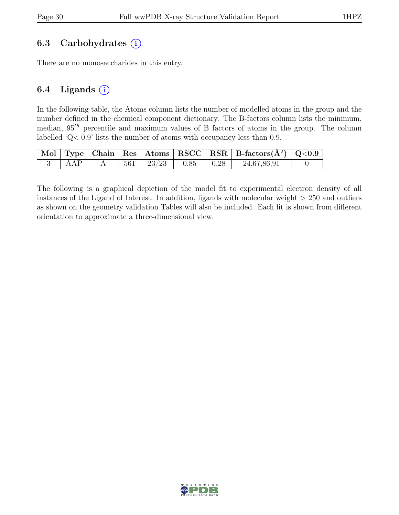#### 6.3 Carbohydrates  $(i)$

There are no monosaccharides in this entry.

#### 6.4 Ligands  $(i)$

In the following table, the Atoms column lists the number of modelled atoms in the group and the number defined in the chemical component dictionary. The B-factors column lists the minimum, median,  $95<sup>th</sup>$  percentile and maximum values of B factors of atoms in the group. The column labelled 'Q< 0.9' lists the number of atoms with occupancy less than 0.9.

|     |  |                                                                                            |  | $\boxed{\text{Mol}}$ Type   Chain   Res   Atoms $\boxed{\text{RSCC}}$   RSR   B-factors( $\AA^2$ )   Q<0.9 |  |
|-----|--|--------------------------------------------------------------------------------------------|--|------------------------------------------------------------------------------------------------------------|--|
| AAP |  | $\begin{array}{ c c c c c c c c c } \hline 561 & 23/23 & 0.85 & 0.28 \ \hline \end{array}$ |  | 24,67,86,91                                                                                                |  |

The following is a graphical depiction of the model fit to experimental electron density of all instances of the Ligand of Interest. In addition, ligands with molecular weight > 250 and outliers as shown on the geometry validation Tables will also be included. Each fit is shown from different orientation to approximate a three-dimensional view.